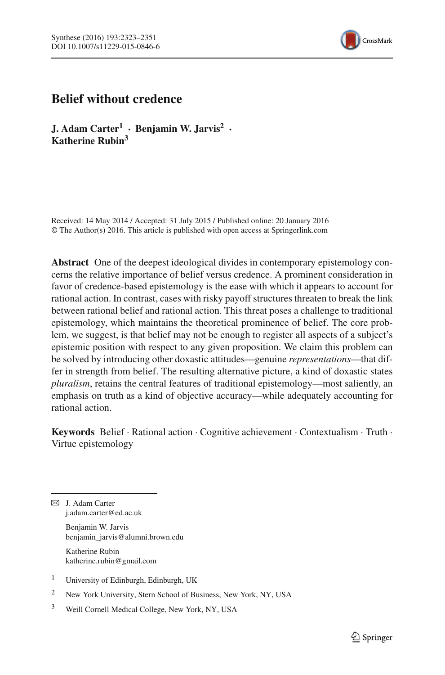

# **Belief without credence**

**J. Adam Carter1 · Benjamin W. Jarvis<sup>2</sup> · Katherine Rubin3**

Received: 14 May 2014 / Accepted: 31 July 2015 / Published online: 20 January 2016 © The Author(s) 2016. This article is published with open access at Springerlink.com

**Abstract** One of the deepest ideological divides in contemporary epistemology concerns the relative importance of belief versus credence. A prominent consideration in favor of credence-based epistemology is the ease with which it appears to account for rational action. In contrast, cases with risky payoff structures threaten to break the link between rational belief and rational action. This threat poses a challenge to traditional epistemology, which maintains the theoretical prominence of belief. The core problem, we suggest, is that belief may not be enough to register all aspects of a subject's epistemic position with respect to any given proposition. We claim this problem can be solved by introducing other doxastic attitudes—genuine *representations*—that differ in strength from belief. The resulting alternative picture, a kind of doxastic states *pluralism*, retains the central features of traditional epistemology—most saliently, an emphasis on truth as a kind of objective accuracy—while adequately accounting for rational action.

**Keywords** Belief · Rational action · Cognitive achievement · Contextualism · Truth · Virtue epistemology

 $\boxtimes$  J. Adam Carter j.adam.carter@ed.ac.uk

> Benjamin W. Jarvis benjamin\_jarvis@alumni.brown.edu

Katherine Rubin katherine.rubin@gmail.com

<sup>1</sup> University of Edinburgh, Edinburgh, UK

<sup>2</sup> New York University, Stern School of Business, New York, NY, USA

<sup>3</sup> Weill Cornell Medical College, New York, NY, USA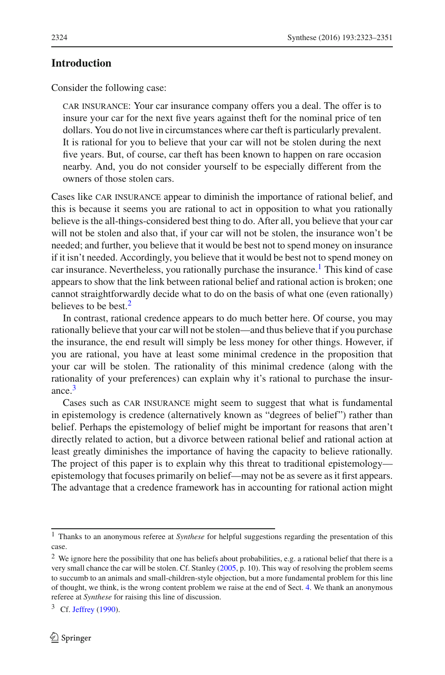## **Introduction**

Consider the following case:

car insurance: Your car insurance company offers you a deal. The offer is to insure your car for the next five years against theft for the nominal price of ten dollars. You do not live in circumstances where car theft is particularly prevalent. It is rational for you to believe that your car will not be stolen during the next five years. But, of course, car theft has been known to happen on rare occasion nearby. And, you do not consider yourself to be especially different from the owners of those stolen cars.

Cases like car insurance appear to diminish the importance of rational belief, and this is because it seems you are rational to act in opposition to what you rationally believe is the all-things-considered best thing to do. After all, you believe that your car will not be stolen and also that, if your car will not be stolen, the insurance won't be needed; and further, you believe that it would be best not to spend money on insurance if it isn't needed. Accordingly, you believe that it would be best not to spend money on car insurance. Nevertheless, you rationally purchase the insurance.<sup>1</sup> This kind of case appears to show that the link between rational belief and rational action is broken; one cannot straightforwardly decide what to do on the basis of what one (even rationally) believes to be best.<sup>2</sup>

In contrast, rational credence appears to do much better here. Of course, you may rationally believe that your car will not be stolen—and thus believe that if you purchase the insurance, the end result will simply be less money for other things. However, if you are rational, you have at least some minimal credence in the proposition that your car will be stolen. The rationality of this minimal credence (along with the rationality of your preferences) can explain why it's rational to purchase the insurance.[3](#page-1-2)

Cases such as car insurance might seem to suggest that what is fundamental in epistemology is credence (alternatively known as "degrees of belief") rather than belief. Perhaps the epistemology of belief might be important for reasons that aren't directly related to action, but a divorce between rational belief and rational action at least greatly diminishes the importance of having the capacity to believe rationally. The project of this paper is to explain why this threat to traditional epistemology epistemology that focuses primarily on belief—may not be as severe as it first appears. The advantage that a credence framework has in accounting for rational action might

<span id="page-1-0"></span><sup>1</sup> Thanks to an anonymous referee at *Synthese* for helpful suggestions regarding the presentation of this case.

<span id="page-1-1"></span><sup>&</sup>lt;sup>2</sup> We ignore here the possibility that one has beliefs about probabilities, e.g. a rational belief that there is a very small chance the car will be stolen. Cf. Stanley [\(2005](#page-27-0), p. 10). This way of resolving the problem seems to succumb to an animals and small-children-style objection, but a more fundamental problem for this line of thought, we think, is the wrong content problem we raise at the end of Sect. [4.](#page-10-0) We thank an anonymous referee at *Synthese* for raising this line of discussion.

<span id="page-1-2"></span><sup>3</sup> Cf. [Jeffrey](#page-27-1) [\(1990](#page-27-1)).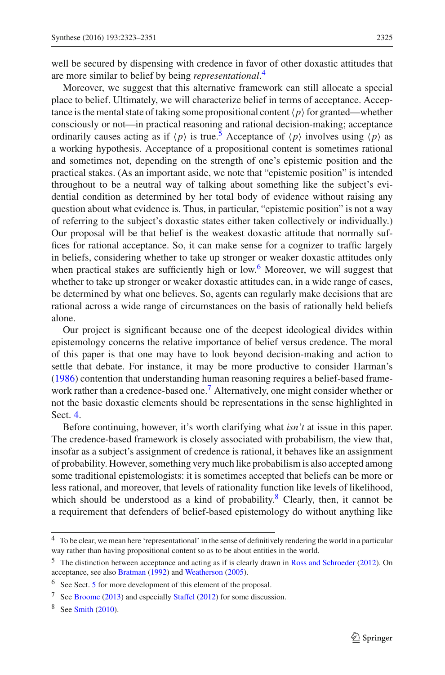well be secured by dispensing with credence in favor of other doxastic attitudes that are more similar to belief by being *representational*. [4](#page-2-0)

Moreover, we suggest that this alternative framework can still allocate a special place to belief. Ultimately, we will characterize belief in terms of acceptance. Acceptance is the mental state of taking some propositional content  $\langle p \rangle$  for granted—whether consciously or not—in practical reasoning and rational decision-making; acceptance ordinarily causes acting as if  $\langle p \rangle$  is true.<sup>[5](#page-2-1)</sup> Acceptance of  $\langle p \rangle$  involves using  $\langle p \rangle$  as a working hypothesis. Acceptance of a propositional content is sometimes rational and sometimes not, depending on the strength of one's epistemic position and the practical stakes. (As an important aside, we note that "epistemic position" is intended throughout to be a neutral way of talking about something like the subject's evidential condition as determined by her total body of evidence without raising any question about what evidence is. Thus, in particular, "epistemic position" is not a way of referring to the subject's doxastic states either taken collectively or individually.) Our proposal will be that belief is the weakest doxastic attitude that normally suffices for rational acceptance. So, it can make sense for a cognizer to traffic largely in beliefs, considering whether to take up stronger or weaker doxastic attitudes only when practical stakes are sufficiently high or low. $6$  Moreover, we will suggest that whether to take up stronger or weaker doxastic attitudes can, in a wide range of cases, be determined by what one believes. So, agents can regularly make decisions that are rational across a wide range of circumstances on the basis of rationally held beliefs alone.

Our project is significant because one of the deepest ideological divides within epistemology concerns the relative importance of belief versus credence. The moral of this paper is that one may have to look beyond decision-making and action to settle that debate. For instance, it may be more productive to consider Harman's [\(1986\)](#page-26-0) contention that understanding human reasoning requires a belief-based framework rather than a credence-based one.<sup>7</sup> Alternatively, one might consider whether or not the basic doxastic elements should be representations in the sense highlighted in Sect. [4.](#page-10-0)

Before continuing, however, it's worth clarifying what *isn't* at issue in this paper. The credence-based framework is closely associated with probabilism, the view that, insofar as a subject's assignment of credence is rational, it behaves like an assignment of probability. However, something very much like probabilism is also accepted among some traditional epistemologists: it is sometimes accepted that beliefs can be more or less rational, and moreover, that levels of rationality function like levels of likelihood, which should be understood as a kind of probability.<sup>[8](#page-2-4)</sup> Clearly, then, it cannot be a requirement that defenders of belief-based epistemology do without anything like

<span id="page-2-0"></span><sup>&</sup>lt;sup>4</sup> To be clear, we mean here 'representational' in the sense of definitively rendering the world in a particular way rather than having propositional content so as to be about entities in the world.

<span id="page-2-1"></span><sup>5</sup> The distinction between acceptance and acting as if is clearly drawn in [Ross and Schroeder](#page-27-2) [\(2012\)](#page-27-2). On acceptance, see also [Bratman](#page-26-1) [\(1992\)](#page-26-1) and [Weatherson](#page-27-3) [\(2005\)](#page-27-3).

<sup>6</sup> See Sect. [5](#page-11-0) for more development of this element of the proposal.

<span id="page-2-2"></span><sup>&</sup>lt;sup>7</sup> See [Broome](#page-26-2) [\(2013](#page-26-2)) and especially [Staffel](#page-27-4) [\(2012](#page-27-4)) for some discussion.

<span id="page-2-4"></span><span id="page-2-3"></span><sup>8</sup> See [Smith](#page-27-5) [\(2010\)](#page-27-5).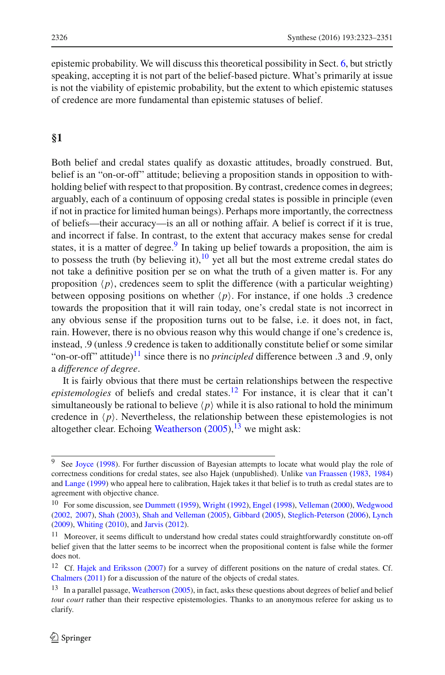epistemic probability. We will discuss this theoretical possibility in Sect. [6,](#page-14-0) but strictly speaking, accepting it is not part of the belief-based picture. What's primarily at issue is not the viability of epistemic probability, but the extent to which epistemic statuses of credence are more fundamental than epistemic statuses of belief.

# <span id="page-3-5"></span>**§1**

Both belief and credal states qualify as doxastic attitudes, broadly construed. But, belief is an "on-or-off" attitude; believing a proposition stands in opposition to withholding belief with respect to that proposition. By contrast, credence comes in degrees; arguably, each of a continuum of opposing credal states is possible in principle (even if not in practice for limited human beings). Perhaps more importantly, the correctness of beliefs—their accuracy—is an all or nothing affair. A belief is correct if it is true, and incorrect if false. In contrast, to the extent that accuracy makes sense for credal states, it is a matter of degree.<sup>[9](#page-3-0)</sup> In taking up belief towards a proposition, the aim is to possess the truth (by believing it), $^{10}$  yet all but the most extreme credal states do not take a definitive position per se on what the truth of a given matter is. For any proposition  $\langle p \rangle$ , credences seem to split the difference (with a particular weighting) between opposing positions on whether  $\langle p \rangle$ . For instance, if one holds .3 credence towards the proposition that it will rain today, one's credal state is not incorrect in any obvious sense if the proposition turns out to be false, i.e. it does not, in fact, rain. However, there is no obvious reason why this would change if one's credence is, instead, .9 (unless .9 credence is taken to additionally constitute belief or some similar "on-or-off" attitude)<sup>[11](#page-3-2)</sup> since there is no *principled* difference between .3 and .9, only a *difference of degree*.

It is fairly obvious that there must be certain relationships between the respective *epistemologies* of beliefs and credal states.<sup>12</sup> For instance, it is clear that it can't simultaneously be rational to believe  $\langle p \rangle$  while it is also rational to hold the minimum credence in  $\langle p \rangle$ . Nevertheless, the relationship between these epistemologies is not altogether clear. Echoing [Weatherson](#page-27-3)  $(2005)$  $(2005)$ , <sup>[13](#page-3-4)</sup> we might ask:

<span id="page-3-0"></span><sup>&</sup>lt;sup>9</sup> See [Joyce](#page-27-6) [\(1998\)](#page-27-6). For further discussion of Bayesian attempts to locate what would play the role of correctness conditions for credal states, see also Hajek (unpublished). Unlike [van Fraassen](#page-27-7) [\(1983](#page-27-7), [1984](#page-27-8)) and [Lange](#page-27-9) [\(1999\)](#page-27-9) who appeal here to calibration, Hajek takes it that belief is to truth as credal states are to agreement with objective chance.

<span id="page-3-1"></span><sup>&</sup>lt;sup>10</sup> For some discussion, see [Dummett](#page-26-3) [\(1959\)](#page-26-3), [Wright](#page-28-0) [\(1992](#page-28-0)), [Engel](#page-26-4) [\(1998\)](#page-26-4), [Velleman](#page-27-10) [\(2000\)](#page-27-10), [Wedgwood](#page-27-11) [\(2002](#page-27-11), [2007\)](#page-27-12), [Shah](#page-27-13) [\(2003](#page-27-13)), [Shah and Velleman](#page-27-14) [\(2005\)](#page-27-14), [Gibbard](#page-26-5) [\(2005\)](#page-26-5), [Steglich-Peterson](#page-27-15) [\(2006](#page-27-15)), [Lynch](#page-27-16) [\(2009](#page-27-16)), [Whiting](#page-28-1) [\(2010\)](#page-28-1), and [Jarvis](#page-27-17) [\(2012](#page-27-17)).

<span id="page-3-2"></span><sup>&</sup>lt;sup>11</sup> Moreover, it seems difficult to understand how credal states could straightforwardly constitute on-off belief given that the latter seems to be incorrect when the propositional content is false while the former does not.

<sup>&</sup>lt;sup>12</sup> Cf. [Hajek and Eriksson](#page-26-6) [\(2007](#page-26-6)) for a survey of different positions on the nature of credal states. Cf. [Chalmers](#page-26-7) [\(2011\)](#page-26-7) for a discussion of the nature of the objects of credal states.

<span id="page-3-4"></span><span id="page-3-3"></span><sup>&</sup>lt;sup>13</sup> In a parallel passage, [Weatherson](#page-27-3) [\(2005](#page-27-3)), in fact, asks these questions about degrees of belief and belief *tout court* rather than their respective epistemologies. Thanks to an anonymous referee for asking us to clarify.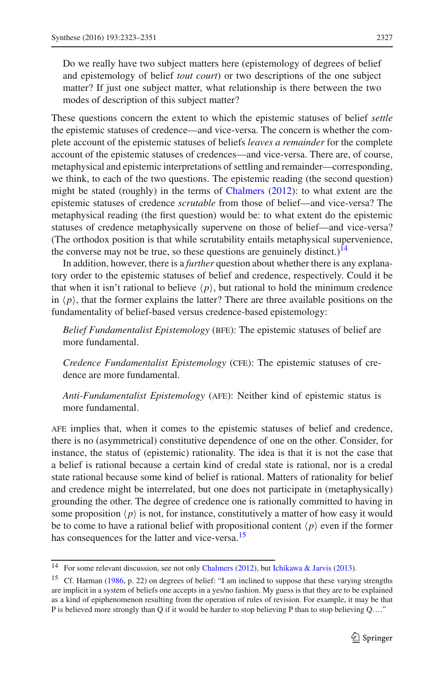Do we really have two subject matters here (epistemology of degrees of belief and epistemology of belief *tout court*) or two descriptions of the one subject matter? If just one subject matter, what relationship is there between the two modes of description of this subject matter?

These questions concern the extent to which the epistemic statuses of belief *settle* the epistemic statuses of credence—and vice-versa. The concern is whether the complete account of the epistemic statuses of beliefs *leaves a remainder* for the complete account of the epistemic statuses of credences—and vice-versa. There are, of course, metaphysical and epistemic interpretations of settling and remainder—corresponding, we think, to each of the two questions. The epistemic reading (the second question) might be stated (roughly) in the terms of [Chalmers](#page-26-8)  $(2012)$  $(2012)$ : to what extent are the epistemic statuses of credence *scrutable* from those of belief—and vice-versa? The metaphysical reading (the first question) would be: to what extent do the epistemic statuses of credence metaphysically supervene on those of belief—and vice-versa? (The orthodox position is that while scrutability entails metaphysical supervenience, the converse may not be true, so these questions are genuinely distinct.)<sup>14</sup>

In addition, however, there is a *further* question about whether there is any explanatory order to the epistemic statuses of belief and credence, respectively. Could it be that when it isn't rational to believe  $\langle p \rangle$ , but rational to hold the minimum credence in  $\langle p \rangle$ , that the former explains the latter? There are three available positions on the fundamentality of belief-based versus credence-based epistemology:

*Belief Fundamentalist Epistemology* (BFE): The epistemic statuses of belief are more fundamental.

*Credence Fundamentalist Epistemology* (cfe): The epistemic statuses of credence are more fundamental.

*Anti-Fundamentalist Epistemology* (AFE): Neither kind of epistemic status is more fundamental.

afe implies that, when it comes to the epistemic statuses of belief and credence, there is no (asymmetrical) constitutive dependence of one on the other. Consider, for instance, the status of (epistemic) rationality. The idea is that it is not the case that a belief is rational because a certain kind of credal state is rational, nor is a credal state rational because some kind of belief is rational. Matters of rationality for belief and credence might be interrelated, but one does not participate in (metaphysically) grounding the other. The degree of credence one is rationally committed to having in some proposition  $\langle p \rangle$  is not, for instance, constitutively a matter of how easy it would be to come to have a rational belief with propositional content  $\langle p \rangle$  even if the former has consequences for the latter and vice-versa.<sup>15</sup>

<sup>&</sup>lt;sup>14</sup> For some relevant discussion, see not only [Chalmers](#page-26-8) [\(2012\)](#page-26-8), but [Ichikawa & Jarvis](#page-27-18) [\(2013](#page-27-18)).

<span id="page-4-1"></span><span id="page-4-0"></span><sup>15</sup> Cf. Harman [\(1986](#page-26-0), p. 22) on degrees of belief: "I am inclined to suppose that these varying strengths are implicit in a system of beliefs one accepts in a yes/no fashion. My guess is that they are to be explained as a kind of epiphenomenon resulting from the operation of rules of revision. For example, it may be that P is believed more strongly than Q if it would be harder to stop believing P than to stop believing Q…."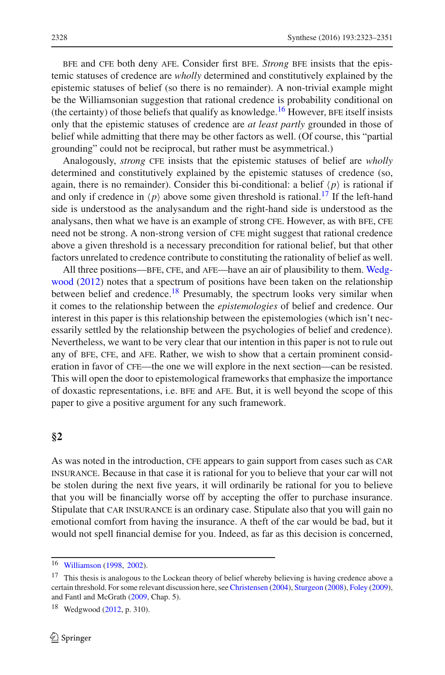bfe and cfe both deny afe. Consider first bfe. *Strong* bfe insists that the epistemic statuses of credence are *wholly* determined and constitutively explained by the epistemic statuses of belief (so there is no remainder). A non-trivial example might be the Williamsonian suggestion that rational credence is probability conditional on (the certainty) of those beliefs that qualify as knowledge.<sup>[16](#page-5-0)</sup> However, BFE itself insists only that the epistemic statuses of credence are *at least partly* grounded in those of belief while admitting that there may be other factors as well. (Of course, this "partial grounding" could not be reciprocal, but rather must be asymmetrical.)

Analogously, *strong* cfe insists that the epistemic statuses of belief are *wholly* determined and constitutively explained by the epistemic statuses of credence (so, again, there is no remainder). Consider this bi-conditional: a belief  $\langle p \rangle$  is rational if and only if credence in  $\langle p \rangle$  above some given threshold is rational.<sup>[17](#page-5-1)</sup> If the left-hand side is understood as the analysandum and the right-hand side is understood as the analysans, then what we have is an example of strong CFE. However, as with BFE, CFE need not be strong. A non-strong version of cfe might suggest that rational credence above a given threshold is a necessary precondition for rational belief, but that other factors unrelated to credence contribute to constituting the rationality of belief as well.

All three positions—BFE, CFE, and AFE[—have](#page-28-2) [an](#page-28-2) [air](#page-28-2) [of](#page-28-2) [plausibility](#page-28-2) [to](#page-28-2) [them.](#page-28-2) Wedgwood [\(2012](#page-28-2)) notes that a spectrum of positions have been taken on the relationship between belief and credence.<sup>[18](#page-5-2)</sup> Presumably, the spectrum looks very similar when it comes to the relationship between the *epistemologies* of belief and credence. Our interest in this paper is this relationship between the epistemologies (which isn't necessarily settled by the relationship between the psychologies of belief and credence). Nevertheless, we want to be very clear that our intention in this paper is not to rule out any of bfe, cfe, and afe. Rather, we wish to show that a certain prominent consideration in favor of CFE—the one we will explore in the next section—can be resisted. This will open the door to epistemological frameworks that emphasize the importance of doxastic representations, i.e. bfe and afe. But, it is well beyond the scope of this paper to give a positive argument for any such framework.

#### <span id="page-5-3"></span>**§2**

As was noted in the introduction, CFE appears to gain support from cases such as CAR insurance. Because in that case it is rational for you to believe that your car will not be stolen during the next five years, it will ordinarily be rational for you to believe that you will be financially worse off by accepting the offer to purchase insurance. Stipulate that CAR INSURANCE is an ordinary case. Stipulate also that you will gain no emotional comfort from having the insurance. A theft of the car would be bad, but it would not spell financial demise for you. Indeed, as far as this decision is concerned,

<sup>16</sup> [Williamson](#page-28-3) [\(1998,](#page-28-3) [2002\)](#page-28-4).

<span id="page-5-1"></span><span id="page-5-0"></span><sup>&</sup>lt;sup>17</sup> This thesis is analogous to the Lockean theory of belief whereby believing is having credence above a certain threshold. For some relevant discussion here, see [Christensen](#page-26-9) [\(2004\)](#page-26-9), [Sturgeon](#page-27-19) [\(2008\)](#page-27-19), [Foley](#page-26-10) [\(2009](#page-26-10)), and Fantl and McGrath [\(2009](#page-26-11), Chap. 5).

<span id="page-5-2"></span><sup>18</sup> Wedgwood [\(2012,](#page-28-2) p. 310).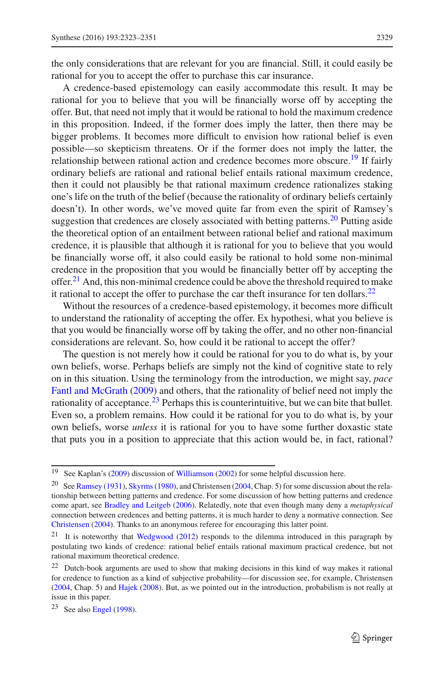the only considerations that are relevant for you are financial. Still, it could easily be rational for you to accept the offer to purchase this car insurance.

A credence-based epistemology can easily accommodate this result. It may be rational for you to believe that you will be financially worse off by accepting the offer. But, that need not imply that it would be rational to hold the maximum credence in this proposition. Indeed, if the former does imply the latter, then there may be bigger problems. It becomes more difficult to envision how rational belief is even possible—so skepticism threatens. Or if the former does not imply the latter, the relationship between rational action and credence becomes more obscure.<sup>19</sup> If fairly ordinary beliefs are rational and rational belief entails rational maximum credence, then it could not plausibly be that rational maximum credence rationalizes staking one's life on the truth of the belief (because the rationality of ordinary beliefs certainly doesn't). In other words, we've moved quite far from even the spirit of Ramsey's suggestion that credences are closely associated with betting patterns.<sup>20</sup> Putting aside the theoretical option of an entailment between rational belief and rational maximum credence, it is plausible that although it is rational for you to believe that you would be financially worse off, it also could easily be rational to hold some non-minimal credence in the proposition that you would be financially better off by accepting the offer.<sup>[21](#page-6-2)</sup> And, this non-minimal credence could be above the threshold required to make it rational to accept the offer to purchase the car theft insurance for ten dollars.<sup>[22](#page-6-3)</sup>

Without the resources of a credence-based epistemology, it becomes more difficult to understand the rationality of accepting the offer. Ex hypothesi, what you believe is that you would be financially worse off by taking the offer, and no other non-financial considerations are relevant. So, how could it be rational to accept the offer?

The question is not merely how it could be rational for you to do what is, by your own beliefs, worse. Perhaps beliefs are simply not the kind of cognitive state to rely on in this situation. Using the terminology from the introduction, we might say, *pace* [Fantl and McGrath](#page-26-11) [\(2009\)](#page-26-11) and others, that the rationality of belief need not imply the rationality of acceptance.<sup>[23](#page-6-4)</sup> Perhaps this is counterintuitive, but we can bite that bullet. Even so, a problem remains. How could it be rational for you to do what is, by your own beliefs, worse *unless* it is rational for you to have some further doxastic state that puts you in a position to appreciate that this action would be, in fact, rational?

<sup>&</sup>lt;sup>19</sup> See Kaplan's [\(2009\)](#page-27-20) discussion of [Williamson](#page-28-4) [\(2002](#page-28-4)) for some helpful discussion here.

<span id="page-6-1"></span><span id="page-6-0"></span><sup>&</sup>lt;sup>20</sup> See [Ramsey](#page-27-21) [\(1931](#page-27-21)), Skyrms (1980), and Christensen [\(2004,](#page-26-9) Chap. 5) for some discussion about the relationship between betting patterns and credence. For some discussion of how betting patterns and credence come apart, see [Bradley and Leitgeb](#page-26-12) [\(2006\)](#page-26-12). Relatedly, note that even though many deny a *metaphysical* connection between credences and betting patterns, it is much harder to deny a normative connection. See [Christensen](#page-26-9) [\(2004\)](#page-26-9). Thanks to an anonymous referee for encouraging this latter point.

<span id="page-6-2"></span><sup>&</sup>lt;sup>21</sup> It is noteworthy that [Wedgwood](#page-28-2) [\(2012\)](#page-28-2) responds to the dilemma introduced in this paragraph by postulating two kinds of credence: rational belief entails rational maximum practical credence, but not rational maximum theoretical credence.

<span id="page-6-3"></span><sup>22</sup> Dutch-book arguments are used to show that making decisions in this kind of way makes it rational for credence to function as a kind of subjective probability—for discussion see, for example, Christensen [\(2004](#page-26-9), Chap. 5) and [Hajek](#page-26-13) [\(2008\)](#page-26-13). But, as we pointed out in the introduction, probabilism is not really at issue in this paper.

<span id="page-6-4"></span> $23$  See also [Engel](#page-26-4) [\(1998\)](#page-26-4).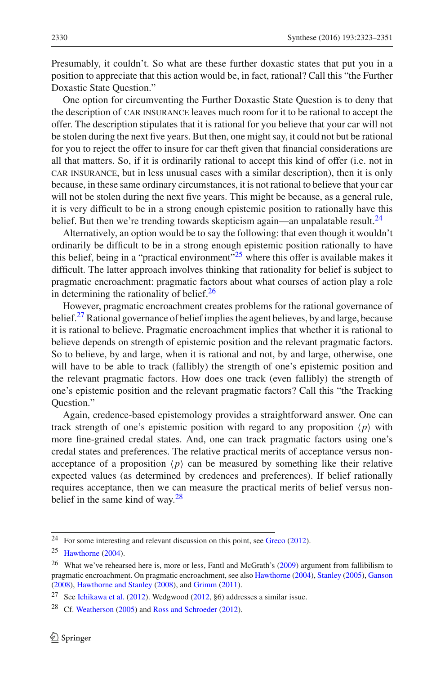Presumably, it couldn't. So what are these further doxastic states that put you in a position to appreciate that this action would be, in fact, rational? Call this "the Further Doxastic State Question."

One option for circumventing the Further Doxastic State Question is to deny that the description of car insurance leaves much room for it to be rational to accept the offer. The description stipulates that it is rational for you believe that your car will not be stolen during the next five years. But then, one might say, it could not but be rational for you to reject the offer to insure for car theft given that financial considerations are all that matters. So, if it is ordinarily rational to accept this kind of offer (i.e. not in car insurance, but in less unusual cases with a similar description), then it is only because, in these same ordinary circumstances, it is not rational to believe that your car will not be stolen during the next five years. This might be because, as a general rule, it is very difficult to be in a strong enough epistemic position to rationally have this belief. But then we're trending towards skepticism again—an unpalatable result.<sup>24</sup>

Alternatively, an option would be to say the following: that even though it wouldn't ordinarily be difficult to be in a strong enough epistemic position rationally to have this belief, being in a "practical environment"<sup>25</sup> where this offer is available makes it difficult. The latter approach involves thinking that rationality for belief is subject to pragmatic encroachment: pragmatic factors about what courses of action play a role in determining the rationality of belief. $26$ 

However, pragmatic encroachment creates problems for the rational governance of belief. $27$  Rational governance of belief implies the agent believes, by and large, because it is rational to believe. Pragmatic encroachment implies that whether it is rational to believe depends on strength of epistemic position and the relevant pragmatic factors. So to believe, by and large, when it is rational and not, by and large, otherwise, one will have to be able to track (fallibly) the strength of one's epistemic position and the relevant pragmatic factors. How does one track (even fallibly) the strength of one's epistemic position and the relevant pragmatic factors? Call this "the Tracking Question."

Again, credence-based epistemology provides a straightforward answer. One can track strength of one's epistemic position with regard to any proposition  $\langle p \rangle$  with more fine-grained credal states. And, one can track pragmatic factors using one's credal states and preferences. The relative practical merits of acceptance versus nonacceptance of a proposition  $\langle p \rangle$  can be measured by something like their relative expected values (as determined by credences and preferences). If belief rationally requires acceptance, then we can measure the practical merits of belief versus nonbelief in the same kind of way. $28$ 

 $\overline{24}$  For some interesting and relevant discussion on this point, see [Greco](#page-26-14) [\(2012\)](#page-26-14).

<span id="page-7-0"></span><sup>&</sup>lt;sup>25</sup> [Hawthorne](#page-26-15) [\(2004\)](#page-26-15).

<span id="page-7-2"></span><span id="page-7-1"></span><sup>&</sup>lt;sup>26</sup> What we've rehearsed here is, more or less, Fantl and McGrath's [\(2009](#page-26-11)) argument from fallibilism to pragmatic encroachment. On pragmatic encroachment, see also [Hawthorne](#page-26-15) [\(2004](#page-26-15)), [Stanley](#page-27-0) [\(2005](#page-27-0)), [Ganson](#page-26-16) [\(2008](#page-26-16)), [Hawthorne and Stanley](#page-26-17) [\(2008](#page-26-17)), and [Grimm](#page-26-18) [\(2011\)](#page-26-18).

<sup>&</sup>lt;sup>27</sup> See [Ichikawa et al.](#page-27-23) [\(2012\)](#page-27-23). Wedgwood [\(2012,](#page-28-2) §6) addresses a similar issue.

<span id="page-7-4"></span><span id="page-7-3"></span>Cf. [Weatherson](#page-27-3) [\(2005](#page-27-3)) and [Ross and Schroeder](#page-27-2) [\(2012](#page-27-2)).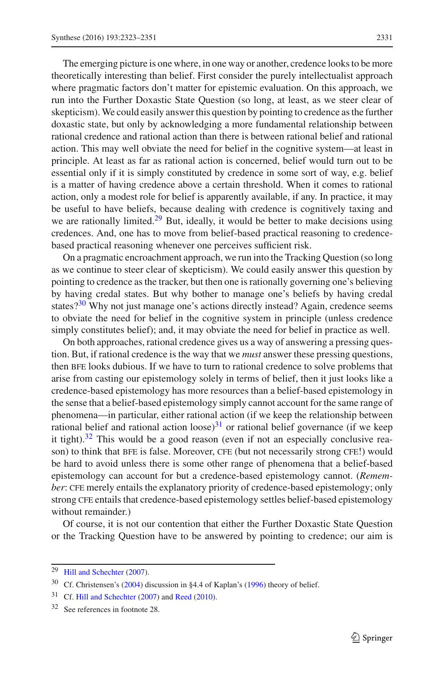The emerging picture is one where, in one way or another, credence looks to be more theoretically interesting than belief. First consider the purely intellectualist approach where pragmatic factors don't matter for epistemic evaluation. On this approach, we run into the Further Doxastic State Question (so long, at least, as we steer clear of skepticism). We could easily answer this question by pointing to credence as the further doxastic state, but only by acknowledging a more fundamental relationship between rational credence and rational action than there is between rational belief and rational action. This may well obviate the need for belief in the cognitive system—at least in principle. At least as far as rational action is concerned, belief would turn out to be essential only if it is simply constituted by credence in some sort of way, e.g. belief is a matter of having credence above a certain threshold. When it comes to rational action, only a modest role for belief is apparently available, if any. In practice, it may be useful to have beliefs, because dealing with credence is cognitively taxing and we are rationally limited.<sup>[29](#page-8-0)</sup> But, ideally, it would be better to make decisions using credences. And, one has to move from belief-based practical reasoning to credencebased practical reasoning whenever one perceives sufficient risk.

On a pragmatic encroachment approach, we run into the Tracking Question (so long as we continue to steer clear of skepticism). We could easily answer this question by pointing to credence as the tracker, but then one is rationally governing one's believing by having credal states. But why bother to manage one's beliefs by having credal states? $30$  Why not just manage one's actions directly instead? Again, credence seems to obviate the need for belief in the cognitive system in principle (unless credence simply constitutes belief); and, it may obviate the need for belief in practice as well.

On both approaches, rational credence gives us a way of answering a pressing question. But, if rational credence is the way that we *must* answer these pressing questions, then BFE looks dubious. If we have to turn to rational credence to solve problems that arise from casting our epistemology solely in terms of belief, then it just looks like a credence-based epistemology has more resources than a belief-based epistemology in the sense that a belief-based epistemology simply cannot account for the same range of phenomena—in particular, either rational action (if we keep the relationship between rational belief and rational action loose) $31$  or rational belief governance (if we keep it tight). $32$  This would be a good reason (even if not an especially conclusive reason) to think that BFE is false. Moreover, CFE (but not necessarily strong CFE!) would be hard to avoid unless there is some other range of phenomena that a belief-based epistemology can account for but a credence-based epistemology cannot. (*Remember*: CFE merely entails the explanatory priority of credence-based epistemology; only strong CFE entails that credence-based epistemology settles belief-based epistemology without remainder.)

Of course, it is not our contention that either the Further Doxastic State Question or the Tracking Question have to be answered by pointing to credence; our aim is

<sup>29</sup> [Hill and Schechter](#page-26-19) [\(2007](#page-26-19)).

<span id="page-8-0"></span><sup>30</sup> Cf. Christensen's [\(2004\)](#page-26-9) discussion in §4.4 of Kaplan's [\(1996](#page-27-24)) theory of belief.

<span id="page-8-2"></span><span id="page-8-1"></span> $31$  Cf. [Hill and Schechter](#page-26-19) [\(2007\)](#page-26-19) and [Reed](#page-27-25) [\(2010](#page-27-25)).

<span id="page-8-3"></span>See references in footnote 28.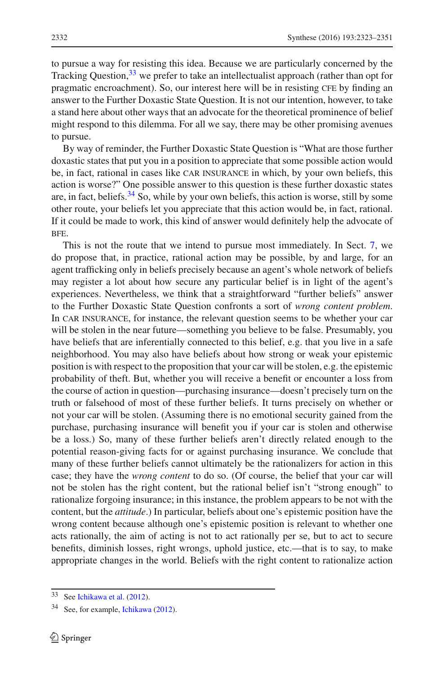to pursue a way for resisting this idea. Because we are particularly concerned by the Tracking Question,  $33$  we prefer to take an intellectualist approach (rather than opt for pragmatic encroachment). So, our interest here will be in resisting cfe by finding an answer to the Further Doxastic State Question. It is not our intention, however, to take a stand here about other ways that an advocate for the theoretical prominence of belief might respond to this dilemma. For all we say, there may be other promising avenues to pursue.

By way of reminder, the Further Doxastic State Question is "What are those further doxastic states that put you in a position to appreciate that some possible action would be, in fact, rational in cases like car insurance in which, by your own beliefs, this action is worse?" One possible answer to this question is these further doxastic states are, in fact, beliefs. $34$  So, while by your own beliefs, this action is worse, still by some other route, your beliefs let you appreciate that this action would be, in fact, rational. If it could be made to work, this kind of answer would definitely help the advocate of BFE.

This is not the route that we intend to pursue most immediately. In Sect. [7,](#page-15-0) we do propose that, in practice, rational action may be possible, by and large, for an agent trafficking only in beliefs precisely because an agent's whole network of beliefs may register a lot about how secure any particular belief is in light of the agent's experiences. Nevertheless, we think that a straightforward "further beliefs" answer to the Further Doxastic State Question confronts a sort of *wrong content problem*. In CAR INSURANCE, for instance, the relevant question seems to be whether your car will be stolen in the near future—something you believe to be false. Presumably, you have beliefs that are inferentially connected to this belief, e.g. that you live in a safe neighborhood. You may also have beliefs about how strong or weak your epistemic position is with respect to the proposition that your car will be stolen, e.g. the epistemic probability of theft. But, whether you will receive a benefit or encounter a loss from the course of action in question—purchasing insurance—doesn't precisely turn on the truth or falsehood of most of these further beliefs. It turns precisely on whether or not your car will be stolen. (Assuming there is no emotional security gained from the purchase, purchasing insurance will benefit you if your car is stolen and otherwise be a loss.) So, many of these further beliefs aren't directly related enough to the potential reason-giving facts for or against purchasing insurance. We conclude that many of these further beliefs cannot ultimately be the rationalizers for action in this case; they have the *wrong content* to do so. (Of course, the belief that your car will not be stolen has the right content, but the rational belief isn't "strong enough" to rationalize forgoing insurance; in this instance, the problem appears to be not with the content, but the *attitude*.) In particular, beliefs about one's epistemic position have the wrong content because although one's epistemic position is relevant to whether one acts rationally, the aim of acting is not to act rationally per se, but to act to secure benefits, diminish losses, right wrongs, uphold justice, etc.—that is to say, to make appropriate changes in the world. Beliefs with the right content to rationalize action

<sup>33</sup> See [Ichikawa et al.](#page-27-23) [\(2012\)](#page-27-23).

<span id="page-9-1"></span><span id="page-9-0"></span>See, for example, [Ichikawa](#page-27-26) [\(2012](#page-27-26)).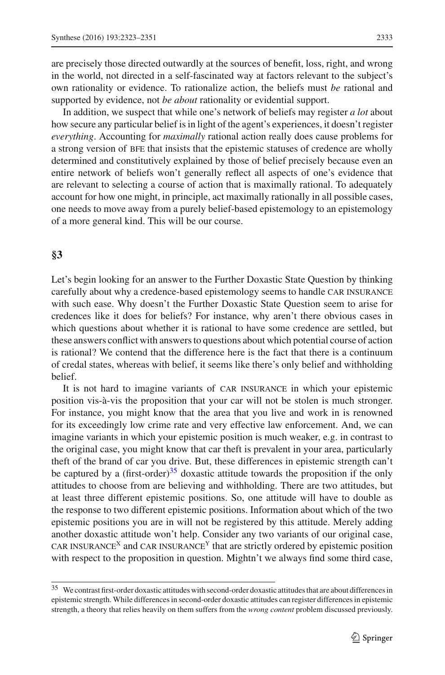are precisely those directed outwardly at the sources of benefit, loss, right, and wrong in the world, not directed in a self-fascinated way at factors relevant to the subject's own rationality or evidence. To rationalize action, the beliefs must *be* rational and supported by evidence, not *be about* rationality or evidential support.

In addition, we suspect that while one's network of beliefs may register *a lot* about how secure any particular belief is in light of the agent's experiences, it doesn't register *everything*. Accounting for *maximally* rational action really does cause problems for a strong version of BFE that insists that the epistemic statuses of credence are wholly determined and constitutively explained by those of belief precisely because even an entire network of beliefs won't generally reflect all aspects of one's evidence that are relevant to selecting a course of action that is maximally rational. To adequately account for how one might, in principle, act maximally rationally in all possible cases, one needs to move away from a purely belief-based epistemology to an epistemology of a more general kind. This will be our course.

## <span id="page-10-0"></span>**§3**

Let's begin looking for an answer to the Further Doxastic State Question by thinking carefully about why a credence-based epistemology seems to handle car insurance with such ease. Why doesn't the Further Doxastic State Question seem to arise for credences like it does for beliefs? For instance, why aren't there obvious cases in which questions about whether it is rational to have some credence are settled, but these answers conflict with answers to questions about which potential course of action is rational? We contend that the difference here is the fact that there is a continuum of credal states, whereas with belief, it seems like there's only belief and withholding belief.

It is not hard to imagine variants of car insurance in which your epistemic position vis-à-vis the proposition that your car will not be stolen is much stronger. For instance, you might know that the area that you live and work in is renowned for its exceedingly low crime rate and very effective law enforcement. And, we can imagine variants in which your epistemic position is much weaker, e.g. in contrast to the original case, you might know that car theft is prevalent in your area, particularly theft of the brand of car you drive. But, these differences in epistemic strength can't be captured by a (first-order)<sup>[35](#page-10-1)</sup> doxastic attitude towards the proposition if the only attitudes to choose from are believing and withholding. There are two attitudes, but at least three different epistemic positions. So, one attitude will have to double as the response to two different epistemic positions. Information about which of the two epistemic positions you are in will not be registered by this attitude. Merely adding another doxastic attitude won't help. Consider any two variants of our original case,  $CAR$  INSURANCE<sup>X</sup> and CAR INSURANCE<sup>Y</sup> that are strictly ordered by epistemic position with respect to the proposition in question. Mightn't we always find some third case,

<span id="page-10-1"></span><sup>35</sup> We contrast first-order doxastic attitudes with second-order doxastic attitudes that are about differences in epistemic strength. While differences in second-order doxastic attitudes can register differences in epistemic strength, a theory that relies heavily on them suffers from the *wrong content* problem discussed previously.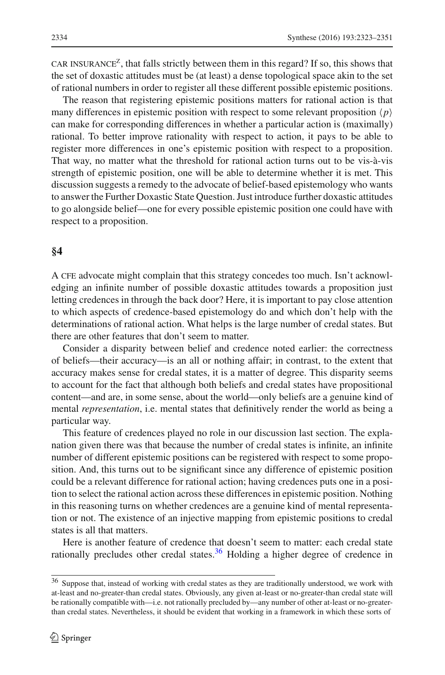car insurancez, that falls strictly between them in this regard? If so, this shows that the set of doxastic attitudes must be (at least) a dense topological space akin to the set of rational numbers in order to register all these different possible epistemic positions.

The reason that registering epistemic positions matters for rational action is that many differences in epistemic position with respect to some relevant proposition  $\langle p \rangle$ can make for corresponding differences in whether a particular action is (maximally) rational. To better improve rationality with respect to action, it pays to be able to register more differences in one's epistemic position with respect to a proposition. That way, no matter what the threshold for rational action turns out to be vis-à-vis strength of epistemic position, one will be able to determine whether it is met. This discussion suggests a remedy to the advocate of belief-based epistemology who wants to answer the Further Doxastic State Question. Just introduce further doxastic attitudes to go alongside belief—one for every possible epistemic position one could have with respect to a proposition.

# <span id="page-11-0"></span>**§4**

A cfe advocate might complain that this strategy concedes too much. Isn't acknowledging an infinite number of possible doxastic attitudes towards a proposition just letting credences in through the back door? Here, it is important to pay close attention to which aspects of credence-based epistemology do and which don't help with the determinations of rational action. What helps is the large number of credal states. But there are other features that don't seem to matter.

Consider a disparity between belief and credence noted earlier: the correctness of beliefs—their accuracy—is an all or nothing affair; in contrast, to the extent that accuracy makes sense for credal states, it is a matter of degree. This disparity seems to account for the fact that although both beliefs and credal states have propositional content—and are, in some sense, about the world—only beliefs are a genuine kind of mental *representation*, i.e. mental states that definitively render the world as being a particular way.

This feature of credences played no role in our discussion last section. The explanation given there was that because the number of credal states is infinite, an infinite number of different epistemic positions can be registered with respect to some proposition. And, this turns out to be significant since any difference of epistemic position could be a relevant difference for rational action; having credences puts one in a position to select the rational action across these differences in epistemic position. Nothing in this reasoning turns on whether credences are a genuine kind of mental representation or not. The existence of an injective mapping from epistemic positions to credal states is all that matters.

Here is another feature of credence that doesn't seem to matter: each credal state rationally precludes other credal states.<sup>36</sup> Holding a higher degree of credence in

<span id="page-11-1"></span><sup>36</sup> Suppose that, instead of working with credal states as they are traditionally understood, we work with at-least and no-greater-than credal states. Obviously, any given at-least or no-greater-than credal state will be rationally compatible with—i.e. not rationally precluded by—any number of other at-least or no-greaterthan credal states. Nevertheless, it should be evident that working in a framework in which these sorts of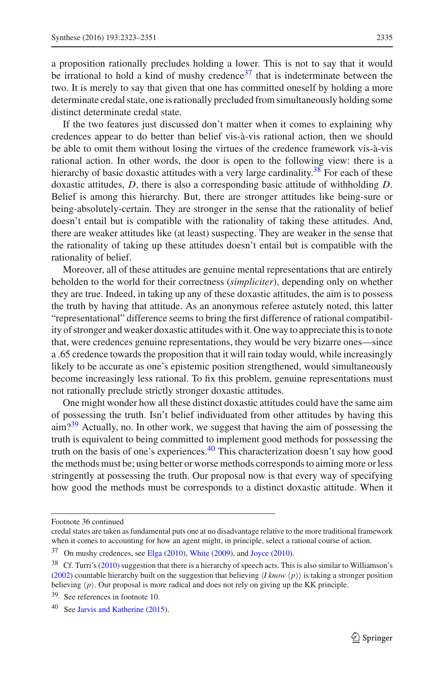a proposition rationally precludes holding a lower. This is not to say that it would be irrational to hold a kind of mushy credence<sup>[37](#page-12-0)</sup> that is indeterminate between the two. It is merely to say that given that one has committed oneself by holding a more determinate credal state, one is rationally precluded from simultaneously holding some distinct determinate credal state.

If the two features just discussed don't matter when it comes to explaining why credences appear to do better than belief vis-à-vis rational action, then we should be able to omit them without losing the virtues of the credence framework vis-à-vis rational action. In other words, the door is open to the following view: there is a hierarchy of basic doxastic attitudes with a very large cardinality.<sup>38</sup> For each of these doxastic attitudes, *D*, there is also a corresponding basic attitude of withholding *D*. Belief is among this hierarchy. But, there are stronger attitudes like being-sure or being-absolutely-certain. They are stronger in the sense that the rationality of belief doesn't entail but is compatible with the rationality of taking these attitudes. And, there are weaker attitudes like (at least) suspecting. They are weaker in the sense that the rationality of taking up these attitudes doesn't entail but is compatible with the rationality of belief.

Moreover, all of these attitudes are genuine mental representations that are entirely beholden to the world for their correctness (*simpliciter*), depending only on whether they are true. Indeed, in taking up any of these doxastic attitudes, the aim is to possess the truth by having that attitude. As an anonymous referee astutely noted, this latter "representational" difference seems to bring the first difference of rational compatibility of stronger and weaker doxastic attitudes with it. One way to appreciate this is to note that, were credences genuine representations, they would be very bizarre ones—since a .65 credence towards the proposition that it will rain today would, while increasingly likely to be accurate as one's epistemic position strengthened, would simultaneously become increasingly less rational. To fix this problem, genuine representations must not rationally preclude strictly stronger doxastic attitudes.

One might wonder how all these distinct doxastic attitudes could have the same aim of possessing the truth. Isn't belief individuated from other attitudes by having this  $\text{aim}$ <sup>39</sup> Actually, no. In other work, we suggest that having the aim of possessing the truth is equivalent to being committed to implement good methods for possessing the truth on the basis of one's experiences. $^{40}$  $^{40}$  $^{40}$  This characterization doesn't say how good the methods must be; using better or worse methods corresponds to aiming more or less stringently at possessing the truth. Our proposal now is that every way of specifying how good the methods must be corresponds to a distinct doxastic attitude. When it

Footnote 36 continued

credal states are taken as fundamental puts one at no disadvantage relative to the more traditional framework when it comes to accounting for how an agent might, in principle, select a rational course of action.

<sup>37</sup> On mushy credences, see [Elga](#page-26-20) [\(2010\)](#page-26-20), [White](#page-28-5) [\(2009](#page-28-5)), and [Joyce](#page-27-27) [\(2010](#page-27-27)).

<span id="page-12-1"></span><span id="page-12-0"></span><sup>&</sup>lt;sup>38</sup> Cf. Turri's [\(2010\)](#page-27-28) suggestion that there is a hierarchy of speech acts. This is also similar to Williamson's [\(2002](#page-28-4)) countable hierarchy built on the suggestion that believing  $\langle I \text{ know } \langle p \rangle$  is taking a stronger position believing  $\langle p \rangle$ . Our proposal is more radical and does not rely on giving up the KK principle.

<sup>39</sup> See references in footnote 10.

<span id="page-12-3"></span><span id="page-12-2"></span><sup>40</sup> See [Jarvis and Katherine](#page-27-29) [\(2015\)](#page-27-29).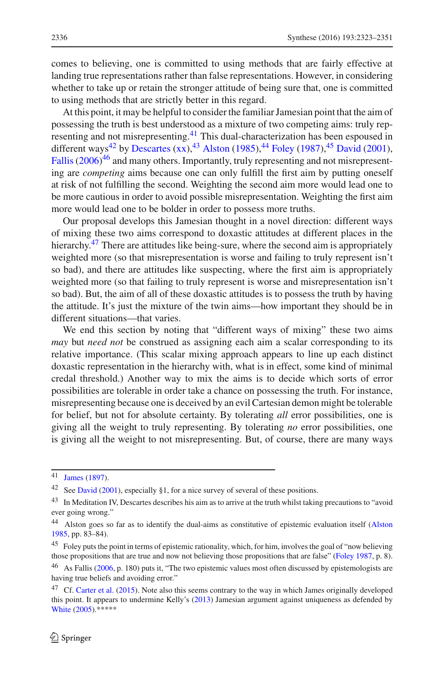comes to believing, one is committed to using methods that are fairly effective at landing true representations rather than false representations. However, in considering whether to take up or retain the stronger attitude of being sure that, one is committed to using methods that are strictly better in this regard.

At this point, it may be helpful to consider the familiar Jamesian point that the aim of possessing the truth is best understood as a mixture of two competing aims: truly representing and not misrepresenting.<sup>41</sup> This dual-characterization has been espoused in different ways<sup>[42](#page-13-1)</sup> by [Descartes](#page-26-21)  $(xx)$  $(xx)$ ,<sup>[43](#page-13-2)</sup> [Alston](#page-26-22) [\(1985](#page-26-22)),<sup>[44](#page-13-3)</sup> [Foley](#page-26-23) [\(1987](#page-26-23)),<sup>[45](#page-13-4)</sup> [David](#page-26-24) [\(2001](#page-26-24)), Fallis (2006) $^{46}$  $^{46}$  $^{46}$  and many others. Importantly, truly representing and not misrepresenting are *competing* aims because one can only fulfill the first aim by putting oneself at risk of not fulfilling the second. Weighting the second aim more would lead one to be more cautious in order to avoid possible misrepresentation. Weighting the first aim more would lead one to be bolder in order to possess more truths.

Our proposal develops this Jamesian thought in a novel direction: different ways of mixing these two aims correspond to doxastic attitudes at different places in the hierarchy.<sup>47</sup> There are attitudes like being-sure, where the second aim is appropriately weighted more (so that misrepresentation is worse and failing to truly represent isn't so bad), and there are attitudes like suspecting, where the first aim is appropriately weighted more (so that failing to truly represent is worse and misrepresentation isn't so bad). But, the aim of all of these doxastic attitudes is to possess the truth by having the attitude. It's just the mixture of the twin aims—how important they should be in different situations—that varies.

We end this section by noting that "different ways of mixing" these two aims *may* but *need not* be construed as assigning each aim a scalar corresponding to its relative importance. (This scalar mixing approach appears to line up each distinct doxastic representation in the hierarchy with, what is in effect, some kind of minimal credal threshold.) Another way to mix the aims is to decide which sorts of error possibilities are tolerable in order take a chance on possessing the truth. For instance, misrepresenting because one is deceived by an evil Cartesian demon might be tolerable for belief, but not for absolute certainty. By tolerating *all* error possibilities, one is giving all the weight to truly representing. By tolerating *no* error possibilities, one is giving all the weight to not misrepresenting. But, of course, there are many ways

<sup>41</sup> [James](#page-27-30) [\(1897](#page-27-30)).

<span id="page-13-0"></span><sup>42</sup> See [David](#page-26-24) [\(2001\)](#page-26-24), especially §1, for a nice survey of several of these positions.

<span id="page-13-2"></span><span id="page-13-1"></span><sup>&</sup>lt;sup>43</sup> In Meditation IV, Descartes describes his aim as to arrive at the truth whilst taking precautions to "avoid" ever going wrong.'

<span id="page-13-3"></span><sup>44</sup> Alston goes so far as to identify the dual-aims as constitutive of epistemic evaluation itself [\(Alston](#page-26-22) [1985,](#page-26-22) pp. 83–84).

<span id="page-13-4"></span><sup>&</sup>lt;sup>45</sup> Foley puts the point in terms of epistemic rationality, which, for him, involves the goal of "now believing those propositions that are true and now not believing those propositions that are false" [\(Foley 1987,](#page-26-23) p. 8).

<span id="page-13-5"></span><sup>&</sup>lt;sup>46</sup> As Fallis [\(2006,](#page-26-25) p. 180) puts it, "The two epistemic values most often discussed by epistemologists are having true beliefs and avoiding error."

<span id="page-13-6"></span><sup>&</sup>lt;sup>47</sup> Cf. [Carter et al.](#page-26-26) [\(2015](#page-26-26)). Note also this seems contrary to the way in which James originally developed this point. It appears to undermine Kelly's [\(2013](#page-27-31)) Jamesian argument against uniqueness as defended by [White](#page-28-6) [\(2005\)](#page-28-6).\*\*\*\*\*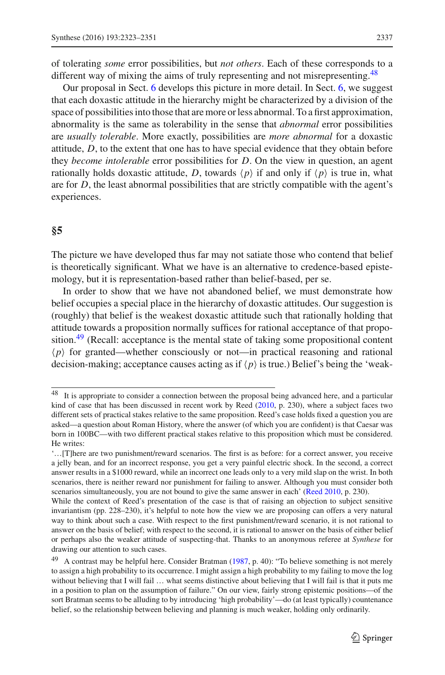of tolerating *some* error possibilities, but *not others*. Each of these corresponds to a different way of mixing the aims of truly representing and not misrepresenting.<sup>[48](#page-14-1)</sup>

Our proposal in Sect. [6](#page-14-0) develops this picture in more detail. In Sect. [6,](#page-14-0) we suggest that each doxastic attitude in the hierarchy might be characterized by a division of the space of possibilities into those that are more or less abnormal. To a first approximation, abnormality is the same as tolerability in the sense that *abnormal* error possibilities are *usually tolerable*. More exactly, possibilities are *more abnormal* for a doxastic attitude, *D*, to the extent that one has to have special evidence that they obtain before they *become intolerable* error possibilities for *D*. On the view in question, an agent rationally holds doxastic attitude, *D*, towards  $\langle p \rangle$  if and only if  $\langle p \rangle$  is true in, what are for *D*, the least abnormal possibilities that are strictly compatible with the agent's experiences.

## <span id="page-14-0"></span>**§5**

The picture we have developed thus far may not satiate those who contend that belief is theoretically significant. What we have is an alternative to credence-based epistemology, but it is representation-based rather than belief-based, per se.

In order to show that we have not abandoned belief, we must demonstrate how belief occupies a special place in the hierarchy of doxastic attitudes. Our suggestion is (roughly) that belief is the weakest doxastic attitude such that rationally holding that attitude towards a proposition normally suffices for rational acceptance of that proposition. $49$  (Recall: acceptance is the mental state of taking some propositional content  $\langle p \rangle$  for granted—whether consciously or not—in practical reasoning and rational decision-making; acceptance causes acting as if  $\langle p \rangle$  is true.) Belief's being the 'weak-

<span id="page-14-1"></span><sup>&</sup>lt;sup>48</sup> It is appropriate to consider a connection between the proposal being advanced here, and a particular kind of case that has been discussed in recent work by Reed [\(2010,](#page-27-25) p. 230), where a subject faces two different sets of practical stakes relative to the same proposition. Reed's case holds fixed a question you are asked—a question about Roman History, where the answer (of which you are confident) is that Caesar was born in 100BC—with two different practical stakes relative to this proposition which must be considered. He writes:

<sup>&#</sup>x27;…[T]here are two punishment/reward scenarios. The first is as before: for a correct answer, you receive a jelly bean, and for an incorrect response, you get a very painful electric shock. In the second, a correct answer results in a \$1000 reward, while an incorrect one leads only to a very mild slap on the wrist. In both scenarios, there is neither reward nor punishment for failing to answer. Although you must consider both scenarios simultaneously, you are not bound to give the same answer in each' [\(Reed 2010,](#page-27-25) p. 230).

While the context of Reed's presentation of the case is that of raising an objection to subject sensitive invariantism (pp. 228–230), it's helpful to note how the view we are proposing can offers a very natural way to think about such a case. With respect to the first punishment/reward scenario, it is not rational to answer on the basis of belief; with respect to the second, it is rational to answer on the basis of either belief or perhaps also the weaker attitude of suspecting-that. Thanks to an anonymous referee at *Synthese* for drawing our attention to such cases.

<span id="page-14-2"></span><sup>&</sup>lt;sup>49</sup> A contrast may be helpful here. Consider Bratman [\(1987](#page-26-27), p. 40): "To believe something is not merely to assign a high probability to its occurrence. I might assign a high probability to my failing to move the log without believing that I will fail ... what seems distinctive about believing that I will fail is that it puts me in a position to plan on the assumption of failure." On our view, fairly strong epistemic positions—of the sort Bratman seems to be alluding to by introducing 'high probability'—do (at least typically) countenance belief, so the relationship between believing and planning is much weaker, holding only ordinarily.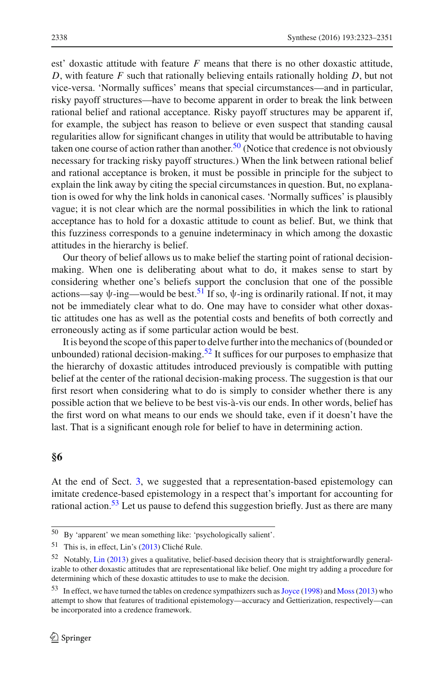est' doxastic attitude with feature *F* means that there is no other doxastic attitude, *D*, with feature *F* such that rationally believing entails rationally holding *D*, but not vice-versa. 'Normally suffices' means that special circumstances—and in particular, risky payoff structures—have to become apparent in order to break the link between rational belief and rational acceptance. Risky payoff structures may be apparent if, for example, the subject has reason to believe or even suspect that standing causal regularities allow for significant changes in utility that would be attributable to having taken one course of action rather than another.<sup>50</sup> (Notice that credence is not obviously necessary for tracking risky payoff structures.) When the link between rational belief and rational acceptance is broken, it must be possible in principle for the subject to explain the link away by citing the special circumstances in question. But, no explanation is owed for why the link holds in canonical cases. 'Normally suffices' is plausibly vague; it is not clear which are the normal possibilities in which the link to rational acceptance has to hold for a doxastic attitude to count as belief. But, we think that this fuzziness corresponds to a genuine indeterminacy in which among the doxastic attitudes in the hierarchy is belief.

Our theory of belief allows us to make belief the starting point of rational decisionmaking. When one is deliberating about what to do, it makes sense to start by considering whether one's beliefs support the conclusion that one of the possible actions—say  $\psi$ -ing—would be best.<sup>[51](#page-15-2)</sup> If so,  $\psi$ -ing is ordinarily rational. If not, it may not be immediately clear what to do. One may have to consider what other doxastic attitudes one has as well as the potential costs and benefits of both correctly and erroneously acting as if some particular action would be best.

It is beyond the scope of this paper to delve further into the mechanics of (bounded or unbounded) rational decision-making.<sup>52</sup> It suffices for our purposes to emphasize that the hierarchy of doxastic attitudes introduced previously is compatible with putting belief at the center of the rational decision-making process. The suggestion is that our first resort when considering what to do is simply to consider whether there is any possible action that we believe to be best vis-à-vis our ends. In other words, belief has the first word on what means to our ends we should take, even if it doesn't have the last. That is a significant enough role for belief to have in determining action.

#### <span id="page-15-0"></span>**§6**

At the end of Sect. [3,](#page-5-3) we suggested that a representation-based epistemology can imitate credence-based epistemology in a respect that's important for accounting for rational action. $53$  Let us pause to defend this suggestion briefly. Just as there are many

<sup>50</sup> By 'apparent' we mean something like: 'psychologically salient'.

<span id="page-15-1"></span><sup>51</sup> This is, in effect, Lin's [\(2013\)](#page-27-32) Cliché Rule.

<span id="page-15-3"></span><span id="page-15-2"></span> $52$  Notably, [Lin](#page-27-32) [\(2013](#page-27-32)) gives a qualitative, belief-based decision theory that is straightforwardly generalizable to other doxastic attitudes that are representational like belief. One might try adding a procedure for determining which of these doxastic attitudes to use to make the decision.

<span id="page-15-4"></span><sup>&</sup>lt;sup>53</sup> In effect, we have turned the tables on credence sympathizers such as [Joyce](#page-27-6) [\(1998](#page-27-6)) and Moss (2013) who attempt to show that features of traditional epistemology—accuracy and Gettierization, respectively—can be incorporated into a credence framework.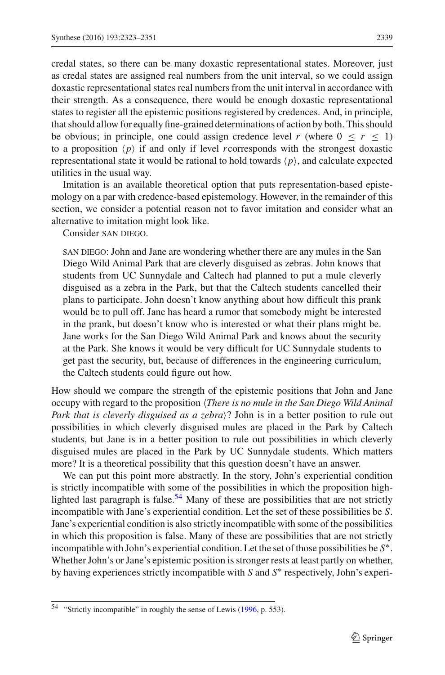credal states, so there can be many doxastic representational states. Moreover, just as credal states are assigned real numbers from the unit interval, so we could assign doxastic representational states real numbers from the unit interval in accordance with their strength. As a consequence, there would be enough doxastic representational states to register all the epistemic positions registered by credences. And, in principle, that should allow for equally fine-grained determinations of action by both. This should be obvious; in principle, one could assign credence level *r* (where  $0 \le r \le 1$ ) to a proposition  $\langle p \rangle$  if and only if level *r* corresponds with the strongest doxastic representational state it would be rational to hold towards  $\langle p \rangle$ , and calculate expected utilities in the usual way.

Imitation is an available theoretical option that puts representation-based epistemology on a par with credence-based epistemology. However, in the remainder of this section, we consider a potential reason not to favor imitation and consider what an alternative to imitation might look like.

Consider SAN DIEGO.

san diego: John and Jane are wondering whether there are any mules in the San Diego Wild Animal Park that are cleverly disguised as zebras. John knows that students from UC Sunnydale and Caltech had planned to put a mule cleverly disguised as a zebra in the Park, but that the Caltech students cancelled their plans to participate. John doesn't know anything about how difficult this prank would be to pull off. Jane has heard a rumor that somebody might be interested in the prank, but doesn't know who is interested or what their plans might be. Jane works for the San Diego Wild Animal Park and knows about the security at the Park. She knows it would be very difficult for UC Sunnydale students to get past the security, but, because of differences in the engineering curriculum, the Caltech students could figure out how.

How should we compare the strength of the epistemic positions that John and Jane occupy with regard to the proposition -*There is no mule in the San Diego Wild Animal Park that is cleverly disguised as a zebra*? John is in a better position to rule out possibilities in which cleverly disguised mules are placed in the Park by Caltech students, but Jane is in a better position to rule out possibilities in which cleverly disguised mules are placed in the Park by UC Sunnydale students. Which matters more? It is a theoretical possibility that this question doesn't have an answer.

We can put this point more abstractly. In the story, John's experiential condition is strictly incompatible with some of the possibilities in which the proposition high-lighted last paragraph is false.<sup>[54](#page-16-0)</sup> Many of these are possibilities that are not strictly incompatible with Jane's experiential condition. Let the set of these possibilities be *S*. Jane's experiential condition is also strictly incompatible with some of the possibilities in which this proposition is false. Many of these are possibilities that are not strictly incompatible with John's experiential condition. Let the set of those possibilities be *S*∗. Whether John's or Jane's epistemic position is stronger rests at least partly on whether, by having experiences strictly incompatible with *S* and *S*∗ respectively, John's experi-

<span id="page-16-0"></span><sup>54</sup> "Strictly incompatible" in roughly the sense of Lewis [\(1996,](#page-27-34) p. 553).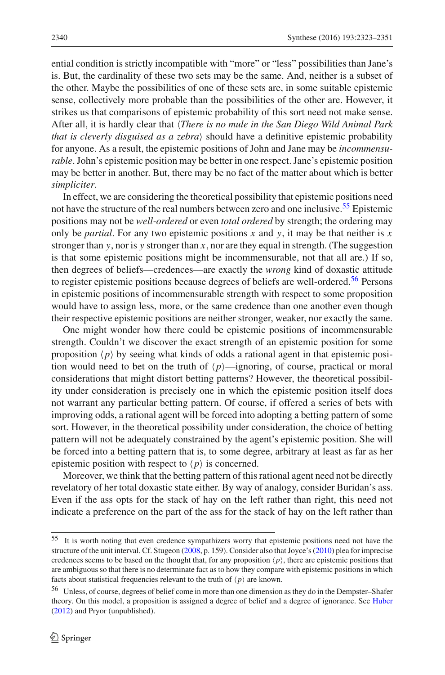ential condition is strictly incompatible with "more" or "less" possibilities than Jane's is. But, the cardinality of these two sets may be the same. And, neither is a subset of the other. Maybe the possibilities of one of these sets are, in some suitable epistemic sense, collectively more probable than the possibilities of the other are. However, it strikes us that comparisons of epistemic probability of this sort need not make sense. After all, it is hardly clear that *{There is no mule in the San Diego Wild Animal Park that is cleverly disguised as a zebra*) should have a definitive epistemic probability for anyone. As a result, the epistemic positions of John and Jane may be *incommensurable*. John's epistemic position may be better in one respect. Jane's epistemic position may be better in another. But, there may be no fact of the matter about which is better *simpliciter*.

In effect, we are considering the theoretical possibility that epistemic positions need not have the structure of the real numbers between zero and one inclusive.<sup>55</sup> Epistemic positions may not be *well-ordered* or even *total ordered* by strength; the ordering may only be *partial*. For any two epistemic positions *x* and *y*, it may be that neither is *x* stronger than  $y$ , nor is  $y$  stronger than  $x$ , nor are they equal in strength. (The suggestion is that some epistemic positions might be incommensurable, not that all are.) If so, then degrees of beliefs—credences—are exactly the *wrong* kind of doxastic attitude to register epistemic positions because degrees of beliefs are well-ordered.<sup>56</sup> Persons in epistemic positions of incommensurable strength with respect to some proposition would have to assign less, more, or the same credence than one another even though their respective epistemic positions are neither stronger, weaker, nor exactly the same.

One might wonder how there could be epistemic positions of incommensurable strength. Couldn't we discover the exact strength of an epistemic position for some proposition  $\langle p \rangle$  by seeing what kinds of odds a rational agent in that epistemic position would need to bet on the truth of  $\langle p \rangle$ —ignoring, of course, practical or moral considerations that might distort betting patterns? However, the theoretical possibility under consideration is precisely one in which the epistemic position itself does not warrant any particular betting pattern. Of course, if offered a series of bets with improving odds, a rational agent will be forced into adopting a betting pattern of some sort. However, in the theoretical possibility under consideration, the choice of betting pattern will not be adequately constrained by the agent's epistemic position. She will be forced into a betting pattern that is, to some degree, arbitrary at least as far as her epistemic position with respect to  $\langle p \rangle$  is concerned.

Moreover, we think that the betting pattern of this rational agent need not be directly revelatory of her total doxastic state either. By way of analogy, consider Buridan's ass. Even if the ass opts for the stack of hay on the left rather than right, this need not indicate a preference on the part of the ass for the stack of hay on the left rather than

<span id="page-17-0"></span><sup>55</sup> It is worth noting that even credence sympathizers worry that epistemic positions need not have the structure of the unit interval. Cf. Stugeon [\(2008,](#page-27-19) p. 159). Consider also that Joyce's [\(2010\)](#page-27-27) plea for imprecise credences seems to be based on the thought that, for any proposition  $\langle p \rangle$ , there are epistemic positions that are ambiguous so that there is no determinate fact as to how they compare with epistemic positions in which facts about statistical frequencies relevant to the truth of  $\langle p \rangle$  are known.

<span id="page-17-1"></span><sup>56</sup> Unless, of course, degrees of belief come in more than one dimension as they do in the Dempster–Shafer theory. On this model, a proposition is assigned a degree of belief and a degree of ignorance. See [Huber](#page-26-28) [\(2012](#page-26-28)) and Pryor (unpublished).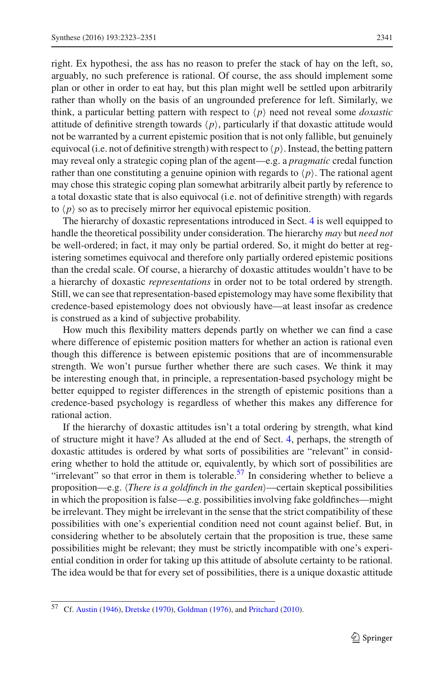right. Ex hypothesi, the ass has no reason to prefer the stack of hay on the left, so, arguably, no such preference is rational. Of course, the ass should implement some plan or other in order to eat hay, but this plan might well be settled upon arbitrarily rather than wholly on the basis of an ungrounded preference for left. Similarly, we think, a particular betting pattern with respect to  $\langle p \rangle$  need not reveal some *doxastic* attitude of definitive strength towards  $\langle p \rangle$ , particularly if that doxastic attitude would not be warranted by a current epistemic position that is not only fallible, but genuinely equivocal (i.e. not of definitive strength) with respect to  $\langle p \rangle$ . Instead, the betting pattern may reveal only a strategic coping plan of the agent—e.g. a *pragmatic* credal function rather than one constituting a genuine opinion with regards to  $\langle p \rangle$ . The rational agent may chose this strategic coping plan somewhat arbitrarily albeit partly by reference to a total doxastic state that is also equivocal (i.e. not of definitive strength) with regards to  $\langle p \rangle$  so as to precisely mirror her equivocal epistemic position.

The hierarchy of doxastic representations introduced in Sect. [4](#page-10-0) is well equipped to handle the theoretical possibility under consideration. The hierarchy *may* but *need not* be well-ordered; in fact, it may only be partial ordered. So, it might do better at registering sometimes equivocal and therefore only partially ordered epistemic positions than the credal scale. Of course, a hierarchy of doxastic attitudes wouldn't have to be a hierarchy of doxastic *representations* in order not to be total ordered by strength. Still, we can see that representation-based epistemology may have some flexibility that credence-based epistemology does not obviously have—at least insofar as credence is construed as a kind of subjective probability.

How much this flexibility matters depends partly on whether we can find a case where difference of epistemic position matters for whether an action is rational even though this difference is between epistemic positions that are of incommensurable strength. We won't pursue further whether there are such cases. We think it may be interesting enough that, in principle, a representation-based psychology might be better equipped to register differences in the strength of epistemic positions than a credence-based psychology is regardless of whether this makes any difference for rational action.

If the hierarchy of doxastic attitudes isn't a total ordering by strength, what kind of structure might it have? As alluded at the end of Sect. [4,](#page-10-0) perhaps, the strength of doxastic attitudes is ordered by what sorts of possibilities are "relevant" in considering whether to hold the attitude or, equivalently, by which sort of possibilities are "irrelevant" so that error in them is tolerable.<sup>57</sup> In considering whether to believe a proposition—e.g. *{There is a goldfinch in the garden}—certain skeptical possibilities* in which the proposition is false—e.g. possibilities involving fake goldfinches—might be irrelevant. They might be irrelevant in the sense that the strict compatibility of these possibilities with one's experiential condition need not count against belief. But, in considering whether to be absolutely certain that the proposition is true, these same possibilities might be relevant; they must be strictly incompatible with one's experiential condition in order for taking up this attitude of absolute certainty to be rational. The idea would be that for every set of possibilities, there is a unique doxastic attitude

<span id="page-18-0"></span><sup>57</sup> Cf. [Austin](#page-26-29) [\(1946\)](#page-26-29), [Dretske](#page-26-30) [\(1970\)](#page-26-30), [Goldman](#page-26-31) [\(1976\)](#page-26-31), and [Pritchard](#page-27-35) [\(2010\)](#page-27-35).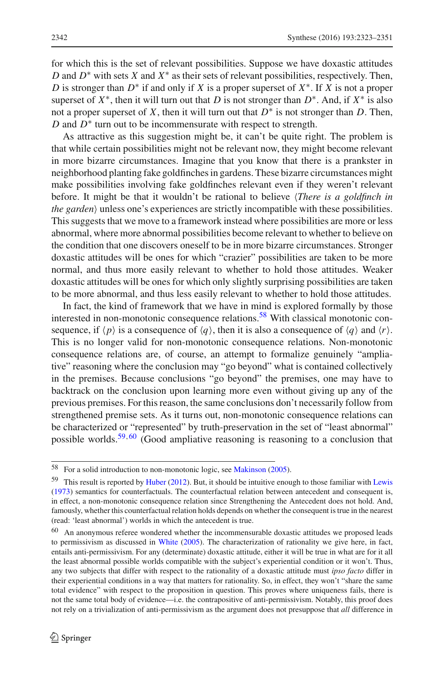for which this is the set of relevant possibilities. Suppose we have doxastic attitudes *D* and *D*<sup>∗</sup> with sets *X* and *X*<sup>∗</sup> as their sets of relevant possibilities, respectively. Then, *D* is stronger than *D*<sup>∗</sup> if and only if *X* is a proper superset of *X*<sup>∗</sup>. If *X* is not a proper superset of  $X^*$ , then it will turn out that *D* is not stronger than  $D^*$ . And, if  $X^*$  is also not a proper superset of *X*, then it will turn out that  $D^*$  is not stronger than *D*. Then, *D* and *D*<sup>∗</sup> turn out to be incommensurate with respect to strength.

As attractive as this suggestion might be, it can't be quite right. The problem is that while certain possibilities might not be relevant now, they might become relevant in more bizarre circumstances. Imagine that you know that there is a prankster in neighborhood planting fake goldfinches in gardens. These bizarre circumstances might make possibilities involving fake goldfinches relevant even if they weren't relevant before. It might be that it wouldn't be rational to believe (*There is a goldfinch in the garden*) unless one's experiences are strictly incompatible with these possibilities. This suggests that we move to a framework instead where possibilities are more or less abnormal, where more abnormal possibilities become relevant to whether to believe on the condition that one discovers oneself to be in more bizarre circumstances. Stronger doxastic attitudes will be ones for which "crazier" possibilities are taken to be more normal, and thus more easily relevant to whether to hold those attitudes. Weaker doxastic attitudes will be ones for which only slightly surprising possibilities are taken to be more abnormal, and thus less easily relevant to whether to hold those attitudes.

In fact, the kind of framework that we have in mind is explored formally by those interested in non-monotonic consequence relations.<sup>[58](#page-19-0)</sup> With classical monotonic consequence, if  $\langle p \rangle$  is a consequence of  $\langle q \rangle$ , then it is also a consequence of  $\langle q \rangle$  and  $\langle r \rangle$ . This is no longer valid for non-monotonic consequence relations. Non-monotonic consequence relations are, of course, an attempt to formalize genuinely "ampliative" reasoning where the conclusion may "go beyond" what is contained collectively in the premises. Because conclusions "go beyond" the premises, one may have to backtrack on the conclusion upon learning more even without giving up any of the previous premises. For this reason, the same conclusions don't necessarily follow from strengthened premise sets. As it turns out, non-monotonic consequence relations can be characterized or "represented" by truth-preservation in the set of "least abnormal" possible worlds[.59](#page-19-1)*,*[60](#page-19-2) (Good ampliative reasoning is reasoning to a conclusion that

<sup>58</sup> For a solid introduction to non-monotonic logic, see [Makinson](#page-27-36) [\(2005\)](#page-27-36).

<span id="page-19-1"></span><span id="page-19-0"></span><sup>59</sup> This result is reported by [Huber](#page-26-28) [\(2012\)](#page-26-28). But, it should be intuitive enough to those familiar with [Lewis](#page-27-37) [\(1973](#page-27-37)) semantics for counterfactuals. The counterfactual relation between antecedent and consequent is, in effect, a non-monotonic consequence relation since Strengthening the Antecedent does not hold. And, famously, whether this counterfactual relation holds depends on whether the consequent is true in the nearest (read: 'least abnormal') worlds in which the antecedent is true.

<span id="page-19-2"></span><sup>60</sup> An anonymous referee wondered whether the incommensurable doxastic attitudes we proposed leads to permissivism as discussed in [White](#page-28-6) [\(2005](#page-28-6)). The characterization of rationality we give here, in fact, entails anti-permissivism. For any (determinate) doxastic attitude, either it will be true in what are for it all the least abnormal possible worlds compatible with the subject's experiential condition or it won't. Thus, any two subjects that differ with respect to the rationality of a doxastic attitude must *ipso facto* differ in their experiential conditions in a way that matters for rationality. So, in effect, they won't "share the same total evidence" with respect to the proposition in question. This proves where uniqueness fails, there is not the same total body of evidence—i.e. the contrapositive of anti-permissivism. Notably, this proof does not rely on a trivialization of anti-permissivism as the argument does not presuppose that *all* difference in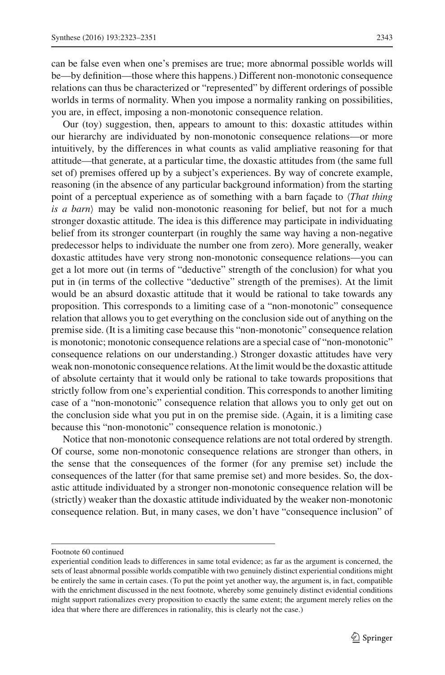can be false even when one's premises are true; more abnormal possible worlds will be—by definition—those where this happens.) Different non-monotonic consequence relations can thus be characterized or "represented" by different orderings of possible worlds in terms of normality. When you impose a normality ranking on possibilities, you are, in effect, imposing a non-monotonic consequence relation.

Our (toy) suggestion, then, appears to amount to this: doxastic attitudes within our hierarchy are individuated by non-monotonic consequence relations—or more intuitively, by the differences in what counts as valid ampliative reasoning for that attitude—that generate, at a particular time, the doxastic attitudes from (the same full set of) premises offered up by a subject's experiences. By way of concrete example, reasoning (in the absence of any particular background information) from the starting point of a perceptual experience as of something with a barn façade to *{That thing*} *is a barn*) may be valid non-monotonic reasoning for belief, but not for a much stronger doxastic attitude. The idea is this difference may participate in individuating belief from its stronger counterpart (in roughly the same way having a non-negative predecessor helps to individuate the number one from zero). More generally, weaker doxastic attitudes have very strong non-monotonic consequence relations—you can get a lot more out (in terms of "deductive" strength of the conclusion) for what you put in (in terms of the collective "deductive" strength of the premises). At the limit would be an absurd doxastic attitude that it would be rational to take towards any proposition. This corresponds to a limiting case of a "non-monotonic" consequence relation that allows you to get everything on the conclusion side out of anything on the premise side. (It is a limiting case because this "non-monotonic" consequence relation is monotonic; monotonic consequence relations are a special case of "non-monotonic" consequence relations on our understanding.) Stronger doxastic attitudes have very weak non-monotonic consequence relations. At the limit would be the doxastic attitude of absolute certainty that it would only be rational to take towards propositions that strictly follow from one's experiential condition. This corresponds to another limiting case of a "non-monotonic" consequence relation that allows you to only get out on the conclusion side what you put in on the premise side. (Again, it is a limiting case because this "non-monotonic" consequence relation is monotonic.)

Notice that non-monotonic consequence relations are not total ordered by strength. Of course, some non-monotonic consequence relations are stronger than others, in the sense that the consequences of the former (for any premise set) include the consequences of the latter (for that same premise set) and more besides. So, the doxastic attitude individuated by a stronger non-monotonic consequence relation will be (strictly) weaker than the doxastic attitude individuated by the weaker non-monotonic consequence relation. But, in many cases, we don't have "consequence inclusion" of

Footnote 60 continued

experiential condition leads to differences in same total evidence; as far as the argument is concerned, the sets of least abnormal possible worlds compatible with two genuinely distinct experiential conditions might be entirely the same in certain cases. (To put the point yet another way, the argument is, in fact, compatible with the enrichment discussed in the next footnote, whereby some genuinely distinct evidential conditions might support rationalizes every proposition to exactly the same extent; the argument merely relies on the idea that where there are differences in rationality, this is clearly not the case.)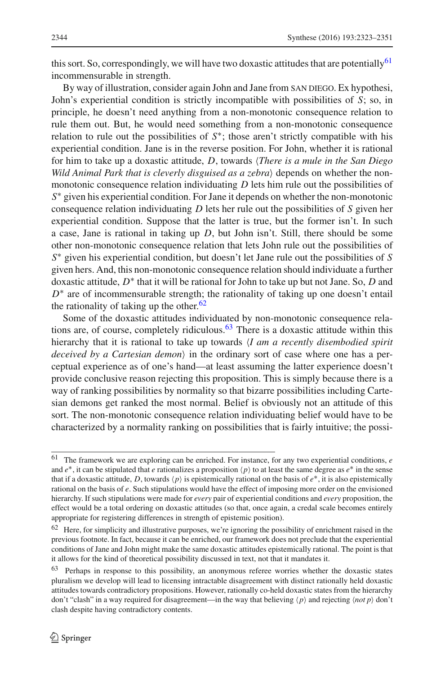this sort. So, correspondingly, we will have two doxastic attitudes that are potentially<sup>61</sup> incommensurable in strength.

By way of illustration, consider again John and Jane from SAN DIEGO. Ex hypothesi, John's experiential condition is strictly incompatible with possibilities of *S*; so, in principle, he doesn't need anything from a non-monotonic consequence relation to rule them out. But, he would need something from a non-monotonic consequence relation to rule out the possibilities of *S*∗; those aren't strictly compatible with his experiential condition. Jane is in the reverse position. For John, whether it is rational for him to take up a doxastic attitude, *D*, towards *{There is a mule in the San Diego Wild Animal Park that is cleverly disguised as a zebra*) depends on whether the nonmonotonic consequence relation individuating *D* lets him rule out the possibilities of *S*∗ given his experiential condition. For Jane it depends on whether the non-monotonic consequence relation individuating *D* lets her rule out the possibilities of *S* given her experiential condition. Suppose that the latter is true, but the former isn't. In such a case, Jane is rational in taking up *D*, but John isn't. Still, there should be some other non-monotonic consequence relation that lets John rule out the possibilities of *S*∗ given his experiential condition, but doesn't let Jane rule out the possibilities of *S* given hers. And, this non-monotonic consequence relation should individuate a further doxastic attitude, *D*∗ that it will be rational for John to take up but not Jane. So, *D* and *D*<sup>∗</sup> are of incommensurable strength; the rationality of taking up one doesn't entail the rationality of taking up the other. $62$ 

Some of the doxastic attitudes individuated by non-monotonic consequence rela-tions are, of course, completely ridiculous.<sup>[63](#page-21-2)</sup> There is a doxastic attitude within this hierarchy that it is rational to take up towards  $\langle I \rangle$  *am a recently disembodied spirit deceived by a Cartesian demon*) in the ordinary sort of case where one has a perceptual experience as of one's hand—at least assuming the latter experience doesn't provide conclusive reason rejecting this proposition. This is simply because there is a way of ranking possibilities by normality so that bizarre possibilities including Cartesian demons get ranked the most normal. Belief is obviously not an attitude of this sort. The non-monotonic consequence relation individuating belief would have to be characterized by a normality ranking on possibilities that is fairly intuitive; the possi-

<span id="page-21-0"></span><sup>61</sup> The framework we are exploring can be enriched. For instance, for any two experiential conditions, *e* and  $e^*$ , it can be stipulated that *e* rationalizes a proposition  $\langle p \rangle$  to at least the same degree as  $e^*$  in the sense that if a doxastic attitude, *D*, towards  $\langle p \rangle$  is epistemically rational on the basis of  $e^*$ , it is also epistemically rational on the basis of *e*. Such stipulations would have the effect of imposing more order on the envisioned hierarchy. If such stipulations were made for *every* pair of experiential conditions and *every* proposition, the effect would be a total ordering on doxastic attitudes (so that, once again, a credal scale becomes entirely appropriate for registering differences in strength of epistemic position).

<span id="page-21-1"></span> $62$  Here, for simplicity and illustrative purposes, we're ignoring the possibility of enrichment raised in the previous footnote. In fact, because it can be enriched, our framework does not preclude that the experiential conditions of Jane and John might make the same doxastic attitudes epistemically rational. The point is that it allows for the kind of theoretical possibility discussed in text, not that it mandates it.

<span id="page-21-2"></span><sup>&</sup>lt;sup>63</sup> Perhaps in response to this possibility, an anonymous referee worries whether the doxastic states pluralism we develop will lead to licensing intractable disagreement with distinct rationally held doxastic attitudes towards contradictory propositions. However, rationally co-held doxastic states from the hierarchy don't "clash" in a way required for disagreement—in the way that believing  $\langle p \rangle$  and rejecting  $\langle not p \rangle$  don't clash despite having contradictory contents.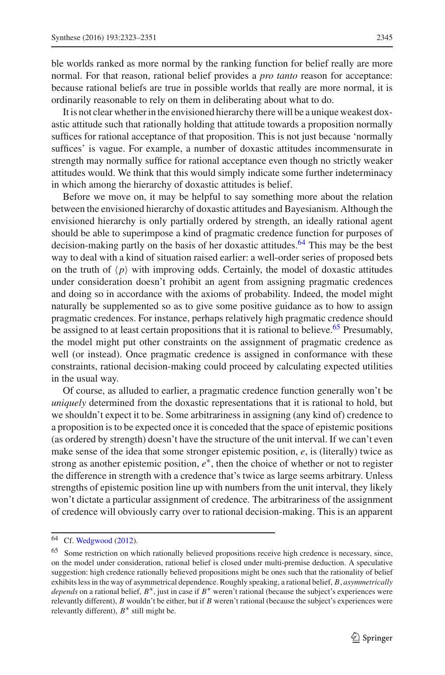ble worlds ranked as more normal by the ranking function for belief really are more normal. For that reason, rational belief provides a *pro tanto* reason for acceptance: because rational beliefs are true in possible worlds that really are more normal, it is ordinarily reasonable to rely on them in deliberating about what to do.

It is not clear whether in the envisioned hierarchy there will be a unique weakest doxastic attitude such that rationally holding that attitude towards a proposition normally suffices for rational acceptance of that proposition. This is not just because 'normally suffices' is vague. For example, a number of doxastic attitudes incommensurate in strength may normally suffice for rational acceptance even though no strictly weaker attitudes would. We think that this would simply indicate some further indeterminacy in which among the hierarchy of doxastic attitudes is belief.

Before we move on, it may be helpful to say something more about the relation between the envisioned hierarchy of doxastic attitudes and Bayesianism. Although the envisioned hierarchy is only partially ordered by strength, an ideally rational agent should be able to superimpose a kind of pragmatic credence function for purposes of decision-making partly on the basis of her doxastic attitudes. $64$  This may be the best way to deal with a kind of situation raised earlier: a well-order series of proposed bets on the truth of  $\langle p \rangle$  with improving odds. Certainly, the model of doxastic attitudes under consideration doesn't prohibit an agent from assigning pragmatic credences and doing so in accordance with the axioms of probability. Indeed, the model might naturally be supplemented so as to give some positive guidance as to how to assign pragmatic credences. For instance, perhaps relatively high pragmatic credence should be assigned to at least certain propositions that it is rational to believe.<sup>[65](#page-22-1)</sup> Presumably, the model might put other constraints on the assignment of pragmatic credence as well (or instead). Once pragmatic credence is assigned in conformance with these constraints, rational decision-making could proceed by calculating expected utilities in the usual way.

Of course, as alluded to earlier, a pragmatic credence function generally won't be *uniquely* determined from the doxastic representations that it is rational to hold, but we shouldn't expect it to be. Some arbitrariness in assigning (any kind of) credence to a proposition is to be expected once it is conceded that the space of epistemic positions (as ordered by strength) doesn't have the structure of the unit interval. If we can't even make sense of the idea that some stronger epistemic position, *e*, is (literally) twice as strong as another epistemic position, *e*∗, then the choice of whether or not to register the difference in strength with a credence that's twice as large seems arbitrary. Unless strengths of epistemic position line up with numbers from the unit interval, they likely won't dictate a particular assignment of credence. The arbitrariness of the assignment of credence will obviously carry over to rational decision-making. This is an apparent

<span id="page-22-0"></span><sup>64</sup> Cf. [Wedgwood](#page-28-2) [\(2012\)](#page-28-2).

<span id="page-22-1"></span><sup>65</sup> Some restriction on which rationally believed propositions receive high credence is necessary, since, on the model under consideration, rational belief is closed under multi-premise deduction. A speculative suggestion: high credence rationally believed propositions might be ones such that the rationality of belief exhibits less in the way of asymmetrical dependence. Roughly speaking, a rational belief, *B*, *asymmetrically depends* on a rational belief, *B*<sup>∗</sup>, just in case if *B*<sup>∗</sup> weren't rational (because the subject's experiences were relevantly different), *B* wouldn't be either, but if *B* weren't rational (because the subject's experiences were relevantly different), *B*∗ still might be.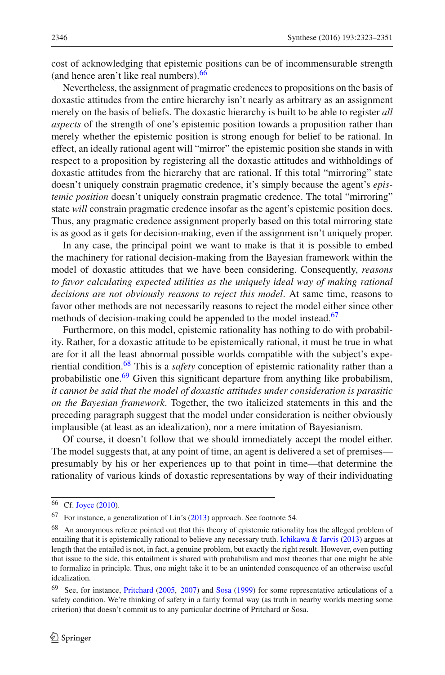cost of acknowledging that epistemic positions can be of incommensurable strength (and hence aren't like real numbers).<sup>[66](#page-23-0)</sup>

Nevertheless, the assignment of pragmatic credences to propositions on the basis of doxastic attitudes from the entire hierarchy isn't nearly as arbitrary as an assignment merely on the basis of beliefs. The doxastic hierarchy is built to be able to register *all aspects* of the strength of one's epistemic position towards a proposition rather than merely whether the epistemic position is strong enough for belief to be rational. In effect, an ideally rational agent will "mirror" the epistemic position she stands in with respect to a proposition by registering all the doxastic attitudes and withholdings of doxastic attitudes from the hierarchy that are rational. If this total "mirroring" state doesn't uniquely constrain pragmatic credence, it's simply because the agent's *epistemic position* doesn't uniquely constrain pragmatic credence. The total "mirroring" state *will* constrain pragmatic credence insofar as the agent's epistemic position does. Thus, any pragmatic credence assignment properly based on this total mirroring state is as good as it gets for decision-making, even if the assignment isn't uniquely proper.

In any case, the principal point we want to make is that it is possible to embed the machinery for rational decision-making from the Bayesian framework within the model of doxastic attitudes that we have been considering. Consequently, *reasons to favor calculating expected utilities as the uniquely ideal way of making rational decisions are not obviously reasons to reject this model*. At same time, reasons to favor other methods are not necessarily reasons to reject the model either since other methods of decision-making could be appended to the model instead.<sup>67</sup>

Furthermore, on this model, epistemic rationality has nothing to do with probability. Rather, for a doxastic attitude to be epistemically rational, it must be true in what are for it all the least abnormal possible worlds compatible with the subject's experiential condition[.68](#page-23-2) This is a *safety* conception of epistemic rationality rather than a probabilistic one.<sup>[69](#page-23-3)</sup> Given this significant departure from anything like probabilism, *it cannot be said that the model of doxastic attitudes under consideration is parasitic on the Bayesian framework*. Together, the two italicized statements in this and the preceding paragraph suggest that the model under consideration is neither obviously implausible (at least as an idealization), nor a mere imitation of Bayesianism.

Of course, it doesn't follow that we should immediately accept the model either. The model suggests that, at any point of time, an agent is delivered a set of premises presumably by his or her experiences up to that point in time—that determine the rationality of various kinds of doxastic representations by way of their individuating

<sup>66</sup> Cf. [Joyce](#page-27-27) [\(2010\)](#page-27-27).

<span id="page-23-0"></span><sup>67</sup> For instance, a generalization of Lin's [\(2013](#page-27-32)) approach. See footnote 54.

<span id="page-23-2"></span><span id="page-23-1"></span><sup>68</sup> An anonymous referee pointed out that this theory of epistemic rationality has the alleged problem of entailing that it is epistemically rational to believe any necessary truth. [Ichikawa & Jarvis](#page-27-18) [\(2013](#page-27-18)) argues at length that the entailed is not, in fact, a genuine problem, but exactly the right result. However, even putting that issue to the side, this entailment is shared with probabilism and most theories that one might be able to formalize in principle. Thus, one might take it to be an unintended consequence of an otherwise useful idealization.

<span id="page-23-3"></span><sup>69</sup> See, for instance, [Pritchard](#page-27-38) [\(2005,](#page-27-38) [2007](#page-27-39)) and [Sosa](#page-27-40) [\(1999\)](#page-27-40) for some representative articulations of a safety condition. We're thinking of safety in a fairly formal way (as truth in nearby worlds meeting some criterion) that doesn't commit us to any particular doctrine of Pritchard or Sosa.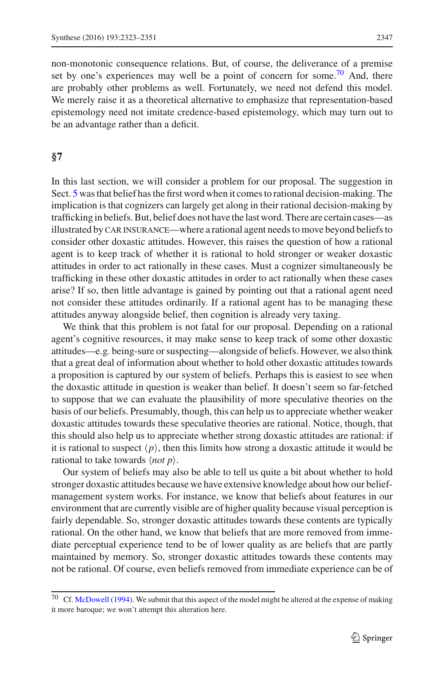non-monotonic consequence relations. But, of course, the deliverance of a premise set by one's experiences may well be a point of concern for some.<sup>[70](#page-24-0)</sup> And, there are probably other problems as well. Fortunately, we need not defend this model. We merely raise it as a theoretical alternative to emphasize that representation-based epistemology need not imitate credence-based epistemology, which may turn out to be an advantage rather than a deficit.

# **§7**

In this last section, we will consider a problem for our proposal. The suggestion in Sect. [5](#page-11-0) was that belief has the first word when it comes to rational decision-making. The implication is that cognizers can largely get along in their rational decision-making by trafficking in beliefs. But, belief does not have the last word. There are certain cases—as illustrated by car insurance—where a rational agent needs to move beyond beliefs to consider other doxastic attitudes. However, this raises the question of how a rational agent is to keep track of whether it is rational to hold stronger or weaker doxastic attitudes in order to act rationally in these cases. Must a cognizer simultaneously be trafficking in these other doxastic attitudes in order to act rationally when these cases arise? If so, then little advantage is gained by pointing out that a rational agent need not consider these attitudes ordinarily. If a rational agent has to be managing these attitudes anyway alongside belief, then cognition is already very taxing.

We think that this problem is not fatal for our proposal. Depending on a rational agent's cognitive resources, it may make sense to keep track of some other doxastic attitudes—e.g. being-sure or suspecting—alongside of beliefs. However, we also think that a great deal of information about whether to hold other doxastic attitudes towards a proposition is captured by our system of beliefs. Perhaps this is easiest to see when the doxastic attitude in question is weaker than belief. It doesn't seem so far-fetched to suppose that we can evaluate the plausibility of more speculative theories on the basis of our beliefs. Presumably, though, this can help us to appreciate whether weaker doxastic attitudes towards these speculative theories are rational. Notice, though, that this should also help us to appreciate whether strong doxastic attitudes are rational: if it is rational to suspect  $\langle p \rangle$ , then this limits how strong a doxastic attitude it would be rational to take towards  $\langle not p \rangle$ .

Our system of beliefs may also be able to tell us quite a bit about whether to hold stronger doxastic attitudes because we have extensive knowledge about how our beliefmanagement system works. For instance, we know that beliefs about features in our environment that are currently visible are of higher quality because visual perception is fairly dependable. So, stronger doxastic attitudes towards these contents are typically rational. On the other hand, we know that beliefs that are more removed from immediate perceptual experience tend to be of lower quality as are beliefs that are partly maintained by memory. So, stronger doxastic attitudes towards these contents may not be rational. Of course, even beliefs removed from immediate experience can be of

<span id="page-24-0"></span><sup>&</sup>lt;sup>70</sup> Cf. [McDowell](#page-27-41) [\(1994](#page-27-41)). We submit that this aspect of the model might be altered at the expense of making it more baroque; we won't attempt this alteration here.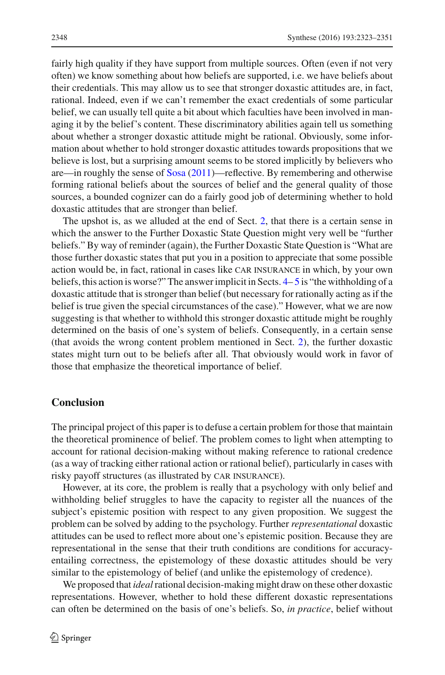fairly high quality if they have support from multiple sources. Often (even if not very often) we know something about how beliefs are supported, i.e. we have beliefs about their credentials. This may allow us to see that stronger doxastic attitudes are, in fact, rational. Indeed, even if we can't remember the exact credentials of some particular belief, we can usually tell quite a bit about which faculties have been involved in managing it by the belief's content. These discriminatory abilities again tell us something about whether a stronger doxastic attitude might be rational. Obviously, some information about whether to hold stronger doxastic attitudes towards propositions that we believe is lost, but a surprising amount seems to be stored implicitly by believers who are—in roughly the sense of [Sosa](#page-27-42) [\(2011\)](#page-27-42)—reflective. By remembering and otherwise forming rational beliefs about the sources of belief and the general quality of those sources, a bounded cognizer can do a fairly good job of determining whether to hold doxastic attitudes that are stronger than belief.

The upshot is, as we alluded at the end of Sect. [2,](#page-3-5) that there is a certain sense in which the answer to the Further Doxastic State Question might very well be "further beliefs." By way of reminder (again), the Further Doxastic State Question is "What are those further doxastic states that put you in a position to appreciate that some possible action would be, in fact, rational in cases like car insurance in which, by your own beliefs, this action is worse?" The answer implicit in Sects. [4–](#page-10-0) [5](#page-11-0) is "the withholding of a doxastic attitude that is stronger than belief (but necessary for rationally acting as if the belief is true given the special circumstances of the case)." However, what we are now suggesting is that whether to withhold this stronger doxastic attitude might be roughly determined on the basis of one's system of beliefs. Consequently, in a certain sense (that avoids the wrong content problem mentioned in Sect. [2\)](#page-3-5), the further doxastic states might turn out to be beliefs after all. That obviously would work in favor of those that emphasize the theoretical importance of belief.

#### **Conclusion**

The principal project of this paper is to defuse a certain problem for those that maintain the theoretical prominence of belief. The problem comes to light when attempting to account for rational decision-making without making reference to rational credence (as a way of tracking either rational action or rational belief), particularly in cases with risky payoff structures (as illustrated by car insurance).

However, at its core, the problem is really that a psychology with only belief and withholding belief struggles to have the capacity to register all the nuances of the subject's epistemic position with respect to any given proposition. We suggest the problem can be solved by adding to the psychology. Further *representational* doxastic attitudes can be used to reflect more about one's epistemic position. Because they are representational in the sense that their truth conditions are conditions for accuracyentailing correctness, the epistemology of these doxastic attitudes should be very similar to the epistemology of belief (and unlike the epistemology of credence).

We proposed that *ideal*rational decision-making might draw on these other doxastic representations. However, whether to hold these different doxastic representations can often be determined on the basis of one's beliefs. So, *in practice*, belief without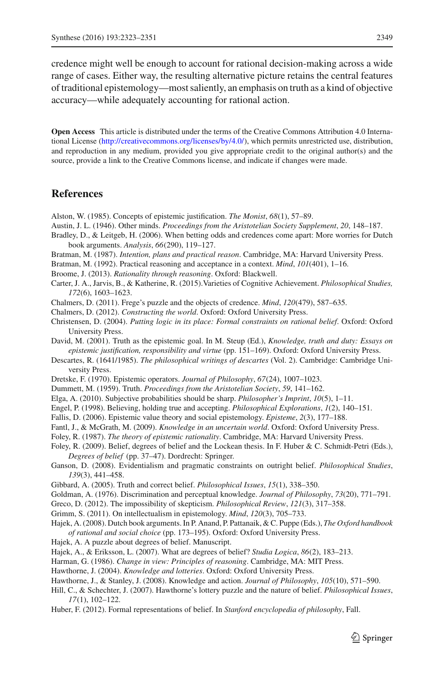credence might well be enough to account for rational decision-making across a wide range of cases. Either way, the resulting alternative picture retains the central features of traditional epistemology—most saliently, an emphasis on truth as a kind of objective accuracy—while adequately accounting for rational action.

**Open Access** This article is distributed under the terms of the Creative Commons Attribution 4.0 International License [\(http://creativecommons.org/licenses/by/4.0/\)](http://creativecommons.org/licenses/by/4.0/), which permits unrestricted use, distribution, and reproduction in any medium, provided you give appropriate credit to the original author(s) and the source, provide a link to the Creative Commons license, and indicate if changes were made.

#### **References**

- <span id="page-26-22"></span>Alston, W. (1985). Concepts of epistemic justification. *The Monist*, *68*(1), 57–89.
- <span id="page-26-29"></span>Austin, J. L. (1946). Other minds. *Proceedings from the Aristotelian Society Supplement*, *20*, 148–187.
- <span id="page-26-12"></span>Bradley, D., & Leitgeb, H. (2006). When betting odds and credences come apart: More worries for Dutch book arguments. *Analysis*, *66*(290), 119–127.
- <span id="page-26-27"></span>Bratman, M. (1987). *Intention, plans and practical reason*. Cambridge, MA: Harvard University Press.
- <span id="page-26-1"></span>Bratman, M. (1992). Practical reasoning and acceptance in a context. *Mind*, *101*(401), 1–16.
- Broome, J. (2013). *Rationality through reasoning*. Oxford: Blackwell.
- <span id="page-26-26"></span><span id="page-26-2"></span>Carter, J. A., Jarvis, B., & Katherine, R. (2015).Varieties of Cognitive Achievement. *Philosophical Studies, 172*(6), 1603–1623.
- <span id="page-26-8"></span><span id="page-26-7"></span>Chalmers, D. (2011). Frege's puzzle and the objects of credence. *Mind*, *120*(479), 587–635.
- Chalmers, D. (2012). *Constructing the world*. Oxford: Oxford University Press.
- <span id="page-26-9"></span>Christensen, D. (2004). *Putting logic in its place: Formal constraints on rational belief*. Oxford: Oxford University Press.
- <span id="page-26-24"></span>David, M. (2001). Truth as the epistemic goal. In M. Steup (Ed.), *Knowledge, truth and duty: Essays on epistemic justification, responsibility and virtue* (pp. 151–169). Oxford: Oxford University Press.
- <span id="page-26-21"></span>Descartes, R. (1641/1985). *The philosophical writings of descartes* (Vol. 2). Cambridge: Cambridge University Press.
- <span id="page-26-30"></span>Dretske, F. (1970). Epistemic operators. *Journal of Philosophy*, *67*(24), 1007–1023.
- <span id="page-26-3"></span>Dummett, M. (1959). Truth. *Proceedings from the Aristotelian Society*, *59*, 141–162.
- <span id="page-26-20"></span>Elga, A. (2010). Subjective probabilities should be sharp. *Philosopher's Imprint*, *10*(5), 1–11.
- <span id="page-26-4"></span>Engel, P. (1998). Believing, holding true and accepting. *Philosophical Explorations*, *1*(2), 140–151.
- <span id="page-26-25"></span>Fallis, D. (2006). Epistemic value theory and social epistemology. *Episteme*, *2*(3), 177–188.
- <span id="page-26-11"></span>Fantl, J., & McGrath, M. (2009). *Knowledge in an uncertain world*. Oxford: Oxford University Press.
- <span id="page-26-23"></span>Foley, R. (1987). *The theory of epistemic rationality*. Cambridge, MA: Harvard University Press.
- <span id="page-26-10"></span>Foley, R. (2009). Belief, degrees of belief and the Lockean thesis. In F. Huber & C. Schmidt-Petri (Eds.), *Degrees of belief* (pp. 37–47). Dordrecht: Springer.
- <span id="page-26-16"></span>Ganson, D. (2008). Evidentialism and pragmatic constraints on outright belief. *Philosophical Studies*, *139*(3), 441–458.
- <span id="page-26-5"></span>Gibbard, A. (2005). Truth and correct belief. *Philosophical Issues*, *15*(1), 338–350.
- <span id="page-26-31"></span>Goldman, A. (1976). Discrimination and perceptual knowledge. *Journal of Philosophy*, *73*(20), 771–791.
- <span id="page-26-14"></span>Greco, D. (2012). The impossibility of skepticism. *Philosophical Review*, *121*(3), 317–358.
- <span id="page-26-18"></span>Grimm, S. (2011). On intellectualism in epistemology. *Mind*, *120*(3), 705–733.
- <span id="page-26-13"></span>Hajek, A. (2008). Dutch book arguments. In P. Anand, P. Pattanaik, & C. Puppe (Eds.), *The Oxford handbook of rational and social choice* (pp. 173–195). Oxford: Oxford University Press.
- Hajek, A. A puzzle about degrees of belief. Manuscript.
- <span id="page-26-6"></span>Hajek, A., & Eriksson, L. (2007). What are degrees of belief? *Studia Logica*, *86*(2), 183–213.
- <span id="page-26-0"></span>Harman, G. (1986). *Change in view: Principles of reasoning*. Cambridge, MA: MIT Press.
- <span id="page-26-15"></span>Hawthorne, J. (2004). *Knowledge and lotteries*. Oxford: Oxford University Press.
- <span id="page-26-17"></span>Hawthorne, J., & Stanley, J. (2008). Knowledge and action. *Journal of Philosophy*, *105*(10), 571–590.
- <span id="page-26-19"></span>Hill, C., & Schechter, J. (2007). Hawthorne's lottery puzzle and the nature of belief. *Philosophical Issues*, *17*(1), 102–122.
- <span id="page-26-28"></span>Huber, F. (2012). Formal representations of belief. In *Stanford encyclopedia of philosophy*, Fall.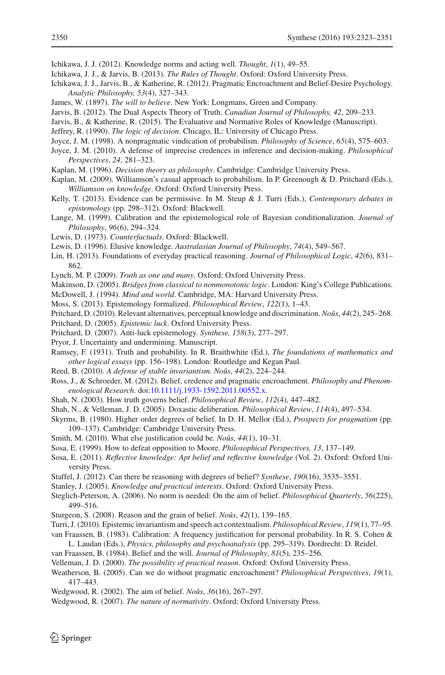<span id="page-27-26"></span>Ichikawa, J. J. (2012). Knowledge norms and acting well. *Thought*, *1*(1), 49–55.

- <span id="page-27-18"></span>Ichikawa, J. J., & Jarvis, B. (2013). *The Rules of Thought*. Oxford: Oxford University Press.
- <span id="page-27-23"></span>Ichikawa, J. J., Jarvis, B., & Katherine, R. (2012). Pragmatic Encroachment and Belief-Desire Psychology. *Analytic Philosophy, 53*(4), 327–343.
- <span id="page-27-30"></span>James, W. (1897). *The will to believe*. New York: Longmans, Green and Company.
- Jarvis, B. (2012). The Dual Aspects Theory of Truth. *Canadian Journal of Philosophy, 42*, 209–233.
- <span id="page-27-29"></span><span id="page-27-17"></span>Jarvis, B., & Katherine, R. (2015). The Evaluative and Normative Roles of Knowledge (Manuscript).
- <span id="page-27-6"></span><span id="page-27-1"></span>Jeffrey, R. (1990). *The logic of decision*. Chicago, IL: University of Chicago Press.
- Joyce, J. M. (1998). A nonpragmatic vindication of probabilism. *Philosophy of Science*, *65*(4), 575–603.
- <span id="page-27-27"></span>Joyce, J. M. (2010). A defense of imprecise credences in inference and decision-making. *Philosophical Perspectives*, *24*, 281–323.
- <span id="page-27-24"></span>Kaplan, M. (1996). *Decision theory as philosophy*. Cambridge: Cambridge University Press.
- <span id="page-27-20"></span>Kaplan, M. (2009). Williamson's casual approach to probabilism. In P. Greenough & D. Pritchard (Eds.), *Williamson on knowledge*. Oxford: Oxford University Press.
- <span id="page-27-31"></span>Kelly, T. (2013). Evidence can be permissive. In M. Steup & J. Turri (Eds.), *Contemporary debates in epistemology* (pp. 298–312). Oxford: Blackwell.
- <span id="page-27-9"></span>Lange, M. (1999). Calibration and the epistemological role of Bayesian conditionalization. *Journal of Philosophy*, *96*(6), 294–324.
- <span id="page-27-37"></span>Lewis, D. (1973). *Counterfactuals*. Oxford: Blackwell.
- <span id="page-27-34"></span>Lewis, D. (1996). Elusive knowledge. *Australasian Journal of Philosophy*, *74*(4), 549–567.
- <span id="page-27-32"></span>Lin, H. (2013). Foundations of everyday practical reasoning. *Journal of Philosophical Logic*, *42*(6), 831– 862.
- <span id="page-27-36"></span><span id="page-27-16"></span>Lynch, M. P. (2009). *Truth as one and many*. Oxford: Oxford University Press.
- Makinson, D. (2005). *Bridges from classical to nonmonotonic logic*. London: King's College Publications.
- <span id="page-27-41"></span>McDowell, J. (1994). *Mind and world*. Cambridge, MA: Harvard University Press.
- <span id="page-27-33"></span>Moss, S. (2013). Epistemology formalized. *Philosophical Review*, *122*(1), 1–43.
- <span id="page-27-35"></span>Pritchard, D. (2010). Relevant alternatives, perceptual knowledge and discrimination.*Noûs*, *44*(2), 245–268.
- <span id="page-27-38"></span>Pritchard, D. (2005). *Epistemic luck*. Oxford University Press.
- <span id="page-27-39"></span>Pritchard, D. (2007). Anti-luck epistemology. *Synthese, 158*(3), 277–297.
- Pryor, J. Uncertainty and undermining. Manuscript.
- <span id="page-27-21"></span>Ramsey, F. (1931). Truth and probability. In R. Braithwhite (Ed.), *The foundations of mathematics and other logical essays* (pp. 156–198). London: Routledge and Kegan Paul.
- <span id="page-27-25"></span>Reed, B. (2010). *A defense of stable invariantism. Noûs*, *44*(2), 224–244.
- <span id="page-27-2"></span>Ross, J., & Schroeder, M. (2012). Belief, credence and pragmatic encroachment. *Philosophy and Phenomenological Research*. doi[:10.1111/j.1933-1592.2011.00552.x.](http://dx.doi.org/10.1111/j.1933-1592.2011.00552.x)
- <span id="page-27-13"></span>Shah, N. (2003). How truth governs belief. *Philosophical Review*, *112*(4), 447–482.
- <span id="page-27-14"></span>Shah, N., & Velleman, J. D. (2005). Doxastic deliberation. *Philosophical Review*, *114*(4), 497–534.
- <span id="page-27-22"></span>Skyrms, B. (1980). Higher order degrees of belief. In D. H. Mellor (Ed.), *Prospects for pragmatism* (pp. 109–137). Cambridge: Cambridge University Press.
- <span id="page-27-5"></span>Smith, M. (2010). What else justification could be. *Noûs*, *44*(1), 10–31.
- <span id="page-27-40"></span>Sosa, E. (1999). How to defeat opposition to Moore. *Philosophical Perspectives, 13*, 137–149.
- <span id="page-27-42"></span>Sosa, E. (2011). *Reflective knowledge: Apt belief and reflective knowledge* (Vol. 2). Oxford: Oxford University Press.
- <span id="page-27-4"></span>Staffel, J. (2012). Can there be reasoning with degrees of belief? *Synthese*, *190*(16), 3535–3551.
- <span id="page-27-0"></span>Stanley, J. (2005). *Knowledge and practical interests*. Oxford: Oxford University Press.
- <span id="page-27-15"></span>Steglich-Peterson, A. (2006). No norm is needed: On the aim of belief. *Philosophical Quarterly*, *56*(225), 499–516.
- <span id="page-27-19"></span>Sturgeon, S. (2008). Reason and the grain of belief. *Noûs*, *42*(1), 139–165.
- <span id="page-27-28"></span>Turri, J. (2010). Epistemic invariantism and speech act contextualism. *Philosophical Review*, *119*(1), 77–95.
- <span id="page-27-7"></span>van Fraassen, B. (1983). Calibration: A frequency justification for personal probability. In R. S. Cohen &
- <span id="page-27-8"></span>L. Laudan (Eds.), *Physics, philosophy and psychoanalysis* (pp. 295–319). Dordrecht: D. Reidel. van Fraassen, B. (1984). Belief and the will. *Journal of Philosophy*, *81*(5), 235–256.
- Velleman, J. D. (2000). *The possibility of practical reason*. Oxford: Oxford University Press.
- <span id="page-27-10"></span><span id="page-27-3"></span>Weatherson, B. (2005). Can we do without pragmatic encroachment? *Philosophical Perspectives*, *19*(1), 417–443.
- <span id="page-27-11"></span>Wedgwood, R. (2002). The aim of belief. *Noûs*, *36*(16), 267–297.
- <span id="page-27-12"></span>Wedgwood, R. (2007). *The nature of normativity*. Oxford: Oxford University Press.